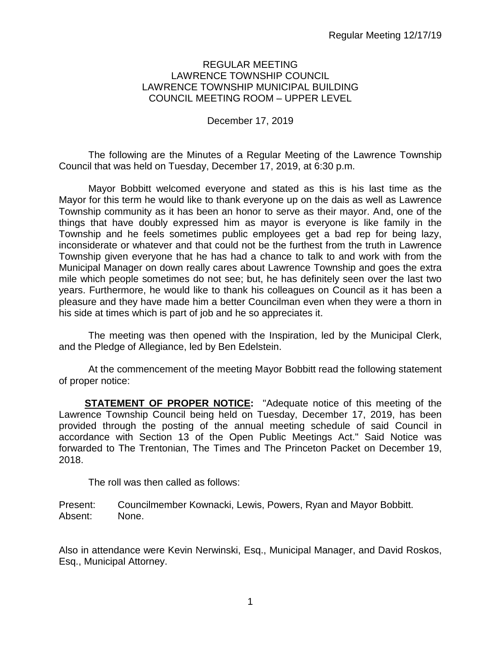### REGULAR MEETING LAWRENCE TOWNSHIP COUNCIL LAWRENCE TOWNSHIP MUNICIPAL BUILDING COUNCIL MEETING ROOM – UPPER LEVEL

### December 17, 2019

The following are the Minutes of a Regular Meeting of the Lawrence Township Council that was held on Tuesday, December 17, 2019, at 6:30 p.m.

Mayor Bobbitt welcomed everyone and stated as this is his last time as the Mayor for this term he would like to thank everyone up on the dais as well as Lawrence Township community as it has been an honor to serve as their mayor. And, one of the things that have doubly expressed him as mayor is everyone is like family in the Township and he feels sometimes public employees get a bad rep for being lazy, inconsiderate or whatever and that could not be the furthest from the truth in Lawrence Township given everyone that he has had a chance to talk to and work with from the Municipal Manager on down really cares about Lawrence Township and goes the extra mile which people sometimes do not see; but, he has definitely seen over the last two years. Furthermore, he would like to thank his colleagues on Council as it has been a pleasure and they have made him a better Councilman even when they were a thorn in his side at times which is part of job and he so appreciates it.

The meeting was then opened with the Inspiration, led by the Municipal Clerk, and the Pledge of Allegiance, led by Ben Edelstein.

At the commencement of the meeting Mayor Bobbitt read the following statement of proper notice:

**STATEMENT OF PROPER NOTICE:** "Adequate notice of this meeting of the Lawrence Township Council being held on Tuesday, December 17, 2019, has been provided through the posting of the annual meeting schedule of said Council in accordance with Section 13 of the Open Public Meetings Act." Said Notice was forwarded to The Trentonian, The Times and The Princeton Packet on December 19, 2018.

The roll was then called as follows:

Present: Councilmember Kownacki, Lewis, Powers, Ryan and Mayor Bobbitt. Absent: None.

Also in attendance were Kevin Nerwinski, Esq., Municipal Manager, and David Roskos, Esq., Municipal Attorney.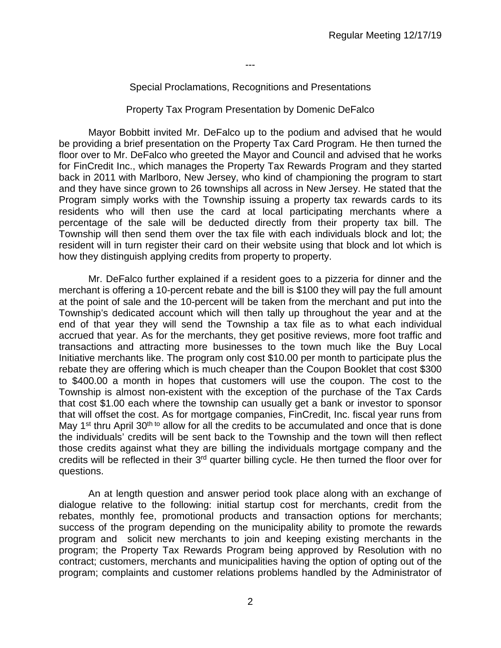---

### Special Proclamations, Recognitions and Presentations

#### Property Tax Program Presentation by Domenic DeFalco

Mayor Bobbitt invited Mr. DeFalco up to the podium and advised that he would be providing a brief presentation on the Property Tax Card Program. He then turned the floor over to Mr. DeFalco who greeted the Mayor and Council and advised that he works for FinCredit Inc., which manages the Property Tax Rewards Program and they started back in 2011 with Marlboro, New Jersey, who kind of championing the program to start and they have since grown to 26 townships all across in New Jersey. He stated that the Program simply works with the Township issuing a property tax rewards cards to its residents who will then use the card at local participating merchants where a percentage of the sale will be deducted directly from their property tax bill. The Township will then send them over the tax file with each individuals block and lot; the resident will in turn register their card on their website using that block and lot which is how they distinguish applying credits from property to property.

Mr. DeFalco further explained if a resident goes to a pizzeria for dinner and the merchant is offering a 10-percent rebate and the bill is \$100 they will pay the full amount at the point of sale and the 10-percent will be taken from the merchant and put into the Township's dedicated account which will then tally up throughout the year and at the end of that year they will send the Township a tax file as to what each individual accrued that year. As for the merchants, they get positive reviews, more foot traffic and transactions and attracting more businesses to the town much like the Buy Local Initiative merchants like. The program only cost \$10.00 per month to participate plus the rebate they are offering which is much cheaper than the Coupon Booklet that cost \$300 to \$400.00 a month in hopes that customers will use the coupon. The cost to the Township is almost non-existent with the exception of the purchase of the Tax Cards that cost \$1.00 each where the township can usually get a bank or investor to sponsor that will offset the cost. As for mortgage companies, FinCredit, Inc. fiscal year runs from May 1<sup>st</sup> thru April 30<sup>th to</sup> allow for all the credits to be accumulated and once that is done the individuals' credits will be sent back to the Township and the town will then reflect those credits against what they are billing the individuals mortgage company and the credits will be reflected in their 3rd quarter billing cycle. He then turned the floor over for questions.

An at length question and answer period took place along with an exchange of dialogue relative to the following: initial startup cost for merchants, credit from the rebates, monthly fee, promotional products and transaction options for merchants; success of the program depending on the municipality ability to promote the rewards program and solicit new merchants to join and keeping existing merchants in the program; the Property Tax Rewards Program being approved by Resolution with no contract; customers, merchants and municipalities having the option of opting out of the program; complaints and customer relations problems handled by the Administrator of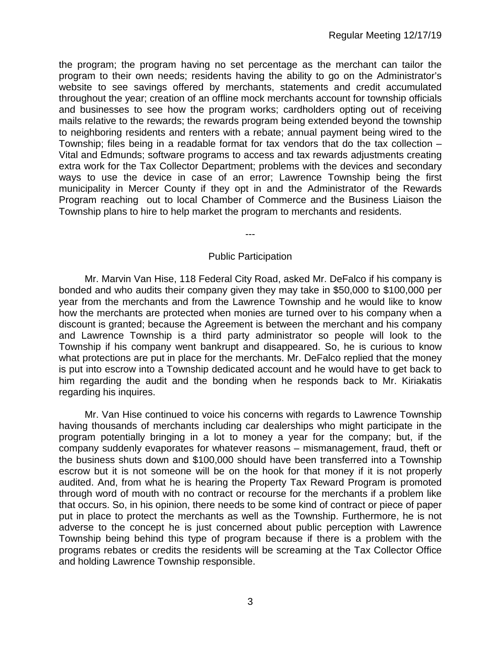the program; the program having no set percentage as the merchant can tailor the program to their own needs; residents having the ability to go on the Administrator's website to see savings offered by merchants, statements and credit accumulated throughout the year; creation of an offline mock merchants account for township officials and businesses to see how the program works; cardholders opting out of receiving mails relative to the rewards; the rewards program being extended beyond the township to neighboring residents and renters with a rebate; annual payment being wired to the Township; files being in a readable format for tax vendors that do the tax collection – Vital and Edmunds; software programs to access and tax rewards adjustments creating extra work for the Tax Collector Department; problems with the devices and secondary ways to use the device in case of an error; Lawrence Township being the first municipality in Mercer County if they opt in and the Administrator of the Rewards Program reaching out to local Chamber of Commerce and the Business Liaison the Township plans to hire to help market the program to merchants and residents.

---

### Public Participation

Mr. Marvin Van Hise, 118 Federal City Road, asked Mr. DeFalco if his company is bonded and who audits their company given they may take in \$50,000 to \$100,000 per year from the merchants and from the Lawrence Township and he would like to know how the merchants are protected when monies are turned over to his company when a discount is granted; because the Agreement is between the merchant and his company and Lawrence Township is a third party administrator so people will look to the Township if his company went bankrupt and disappeared. So, he is curious to know what protections are put in place for the merchants. Mr. DeFalco replied that the money is put into escrow into a Township dedicated account and he would have to get back to him regarding the audit and the bonding when he responds back to Mr. Kiriakatis regarding his inquires.

Mr. Van Hise continued to voice his concerns with regards to Lawrence Township having thousands of merchants including car dealerships who might participate in the program potentially bringing in a lot to money a year for the company; but, if the company suddenly evaporates for whatever reasons – mismanagement, fraud, theft or the business shuts down and \$100,000 should have been transferred into a Township escrow but it is not someone will be on the hook for that money if it is not properly audited. And, from what he is hearing the Property Tax Reward Program is promoted through word of mouth with no contract or recourse for the merchants if a problem like that occurs. So, in his opinion, there needs to be some kind of contract or piece of paper put in place to protect the merchants as well as the Township. Furthermore, he is not adverse to the concept he is just concerned about public perception with Lawrence Township being behind this type of program because if there is a problem with the programs rebates or credits the residents will be screaming at the Tax Collector Office and holding Lawrence Township responsible.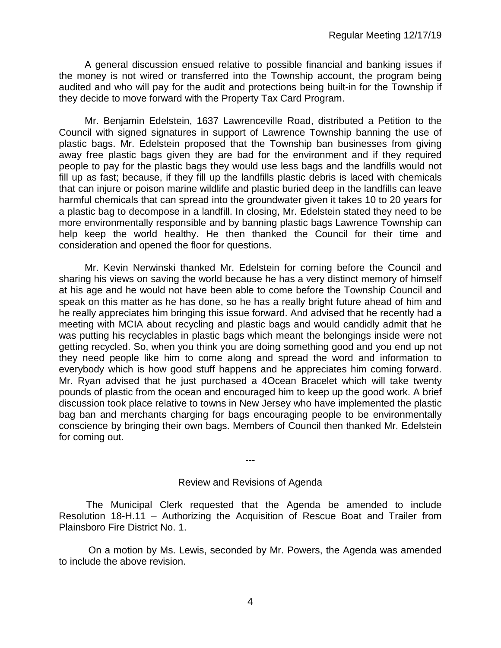A general discussion ensued relative to possible financial and banking issues if the money is not wired or transferred into the Township account, the program being audited and who will pay for the audit and protections being built-in for the Township if they decide to move forward with the Property Tax Card Program.

Mr. Benjamin Edelstein, 1637 Lawrenceville Road, distributed a Petition to the Council with signed signatures in support of Lawrence Township banning the use of plastic bags. Mr. Edelstein proposed that the Township ban businesses from giving away free plastic bags given they are bad for the environment and if they required people to pay for the plastic bags they would use less bags and the landfills would not fill up as fast; because, if they fill up the landfills plastic debris is laced with chemicals that can injure or poison marine wildlife and plastic buried deep in the landfills can leave harmful chemicals that can spread into the groundwater given it takes 10 to 20 years for a plastic bag to decompose in a landfill. In closing, Mr. Edelstein stated they need to be more environmentally responsible and by banning plastic bags Lawrence Township can help keep the world healthy. He then thanked the Council for their time and consideration and opened the floor for questions.

Mr. Kevin Nerwinski thanked Mr. Edelstein for coming before the Council and sharing his views on saving the world because he has a very distinct memory of himself at his age and he would not have been able to come before the Township Council and speak on this matter as he has done, so he has a really bright future ahead of him and he really appreciates him bringing this issue forward. And advised that he recently had a meeting with MCIA about recycling and plastic bags and would candidly admit that he was putting his recyclables in plastic bags which meant the belongings inside were not getting recycled. So, when you think you are doing something good and you end up not they need people like him to come along and spread the word and information to everybody which is how good stuff happens and he appreciates him coming forward. Mr. Ryan advised that he just purchased a 4Ocean Bracelet which will take twenty pounds of plastic from the ocean and encouraged him to keep up the good work. A brief discussion took place relative to towns in New Jersey who have implemented the plastic bag ban and merchants charging for bags encouraging people to be environmentally conscience by bringing their own bags. Members of Council then thanked Mr. Edelstein for coming out.

---

#### Review and Revisions of Agenda

 The Municipal Clerk requested that the Agenda be amended to include Resolution 18-H.11 – Authorizing the Acquisition of Rescue Boat and Trailer from Plainsboro Fire District No. 1.

On a motion by Ms. Lewis, seconded by Mr. Powers, the Agenda was amended to include the above revision.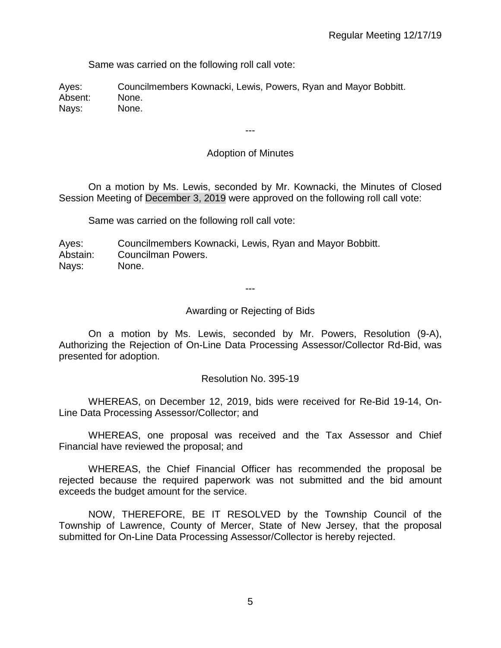Same was carried on the following roll call vote:

Ayes: Councilmembers Kownacki, Lewis, Powers, Ryan and Mayor Bobbitt. Absent: None. Nays: None.

# Adoption of Minutes

---

On a motion by Ms. Lewis, seconded by Mr. Kownacki, the Minutes of Closed Session Meeting of December 3, 2019 were approved on the following roll call vote:

Same was carried on the following roll call vote:

Ayes: Councilmembers Kownacki, Lewis, Ryan and Mayor Bobbitt. Abstain: Councilman Powers. Nays: None.

---

### Awarding or Rejecting of Bids

On a motion by Ms. Lewis, seconded by Mr. Powers, Resolution (9-A), Authorizing the Rejection of On-Line Data Processing Assessor/Collector Rd-Bid, was presented for adoption.

#### Resolution No. 395-19

WHEREAS, on December 12, 2019, bids were received for Re-Bid 19-14, On-Line Data Processing Assessor/Collector; and

WHEREAS, one proposal was received and the Tax Assessor and Chief Financial have reviewed the proposal; and

WHEREAS, the Chief Financial Officer has recommended the proposal be rejected because the required paperwork was not submitted and the bid amount exceeds the budget amount for the service.

NOW, THEREFORE, BE IT RESOLVED by the Township Council of the Township of Lawrence, County of Mercer, State of New Jersey, that the proposal submitted for On-Line Data Processing Assessor/Collector is hereby rejected.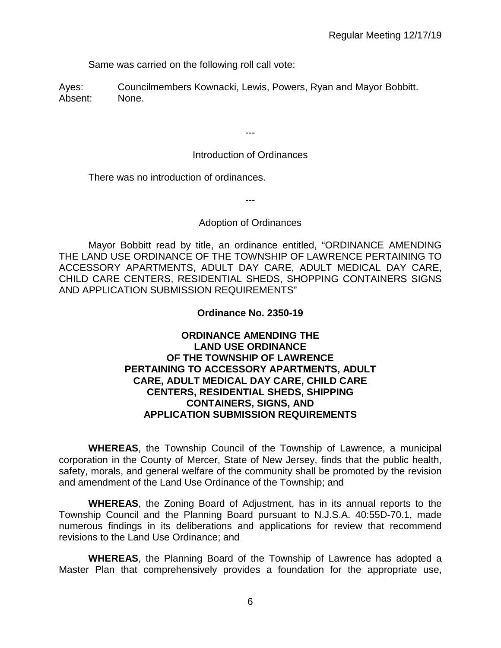Same was carried on the following roll call vote:

Ayes: Councilmembers Kownacki, Lewis, Powers, Ryan and Mayor Bobbitt. Absent: None.

---

# Introduction of Ordinances

There was no introduction of ordinances.

---

# Adoption of Ordinances

Mayor Bobbitt read by title, an ordinance entitled, "ORDINANCE AMENDING THE LAND USE ORDINANCE OF THE TOWNSHIP OF LAWRENCE PERTAINING TO ACCESSORY APARTMENTS, ADULT DAY CARE, ADULT MEDICAL DAY CARE, CHILD CARE CENTERS, RESIDENTIAL SHEDS, SHOPPING CONTAINERS SIGNS AND APPLICATION SUBMISSION REQUIREMENTS"

# **Ordinance No. 2350-19**

# **ORDINANCE AMENDING THE LAND USE ORDINANCE OF THE TOWNSHIP OF LAWRENCE PERTAINING TO ACCESSORY APARTMENTS, ADULT CARE, ADULT MEDICAL DAY CARE, CHILD CARE CENTERS, RESIDENTIAL SHEDS, SHIPPING CONTAINERS, SIGNS, AND APPLICATION SUBMISSION REQUIREMENTS**

**WHEREAS**, the Township Council of the Township of Lawrence, a municipal corporation in the County of Mercer, State of New Jersey, finds that the public health, safety, morals, and general welfare of the community shall be promoted by the revision and amendment of the Land Use Ordinance of the Township; and

**WHEREAS**, the Zoning Board of Adjustment, has in its annual reports to the Township Council and the Planning Board pursuant to N.J.S.A. 40:55D-70.1, made numerous findings in its deliberations and applications for review that recommend revisions to the Land Use Ordinance; and

 **WHEREAS**, the Planning Board of the Township of Lawrence has adopted a Master Plan that comprehensively provides a foundation for the appropriate use,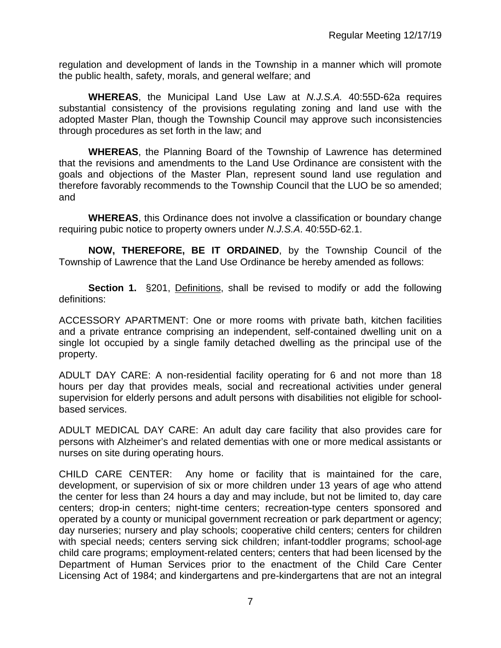regulation and development of lands in the Township in a manner which will promote the public health, safety, morals, and general welfare; and

**WHEREAS**, the Municipal Land Use Law at *N.J.S.A.* 40:55D-62a requires substantial consistency of the provisions regulating zoning and land use with the adopted Master Plan, though the Township Council may approve such inconsistencies through procedures as set forth in the law; and

**WHEREAS**, the Planning Board of the Township of Lawrence has determined that the revisions and amendments to the Land Use Ordinance are consistent with the goals and objections of the Master Plan, represent sound land use regulation and therefore favorably recommends to the Township Council that the LUO be so amended; and

**WHEREAS**, this Ordinance does not involve a classification or boundary change requiring pubic notice to property owners under *N.J.S.A*. 40:55D-62.1.

**NOW, THEREFORE, BE IT ORDAINED**, by the Township Council of the Township of Lawrence that the Land Use Ordinance be hereby amended as follows:

**Section 1.** §201, Definitions, shall be revised to modify or add the following definitions:

ACCESSORY APARTMENT: One or more rooms with private bath, kitchen facilities and a private entrance comprising an independent, self-contained dwelling unit on a single lot occupied by a single family detached dwelling as the principal use of the property.

ADULT DAY CARE: A non-residential facility operating for 6 and not more than 18 hours per day that provides meals, social and recreational activities under general supervision for elderly persons and adult persons with disabilities not eligible for schoolbased services.

ADULT MEDICAL DAY CARE: An adult day care facility that also provides care for persons with Alzheimer's and related dementias with one or more medical assistants or nurses on site during operating hours.

CHILD CARE CENTER: Any home or facility that is maintained for the care, development, or supervision of six or more children under 13 years of age who attend the center for less than 24 hours a day and may include, but not be limited to, day care centers; drop-in centers; night-time centers; recreation-type centers sponsored and operated by a county or municipal government recreation or park department or agency; day nurseries; nursery and play schools; cooperative child centers; centers for children with special needs; centers serving sick children; infant-toddler programs; school-age child care programs; employment-related centers; centers that had been licensed by the Department of Human Services prior to the enactment of the Child Care Center Licensing Act of 1984; and kindergartens and pre-kindergartens that are not an integral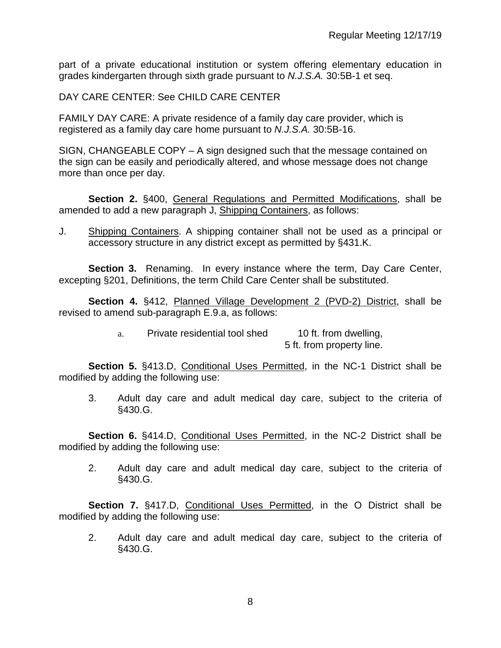part of a private educational institution or system offering elementary education in grades kindergarten through sixth grade pursuant to *N.J.S.A.* 30:5B-1 et seq.

DAY CARE CENTER: See CHILD CARE CENTER

FAMILY DAY CARE: A private residence of a family day care provider, which is registered as a family day care home pursuant to *N.J.S.A.* 30:5B-16.

SIGN, CHANGEABLE COPY – A sign designed such that the message contained on the sign can be easily and periodically altered, and whose message does not change more than once per day.

**Section 2.** §400, General Regulations and Permitted Modifications, shall be amended to add a new paragraph J, Shipping Containers, as follows:

J. Shipping Containers. A shipping container shall not be used as a principal or accessory structure in any district except as permitted by §431.K.

**Section 3.** Renaming. In every instance where the term, Day Care Center, excepting §201, Definitions, the term Child Care Center shall be substituted.

**Section 4.** §412, Planned Village Development 2 (PVD-2) District, shall be revised to amend sub-paragraph E.9.a, as follows:

> a. Private residential tool shed 10 ft. from dwelling, 5 ft. from property line.

**Section 5.** §413.D, Conditional Uses Permitted, in the NC-1 District shall be modified by adding the following use:

3. Adult day care and adult medical day care, subject to the criteria of §430.G.

Section 6. §414.D, Conditional Uses Permitted, in the NC-2 District shall be modified by adding the following use:

2. Adult day care and adult medical day care, subject to the criteria of §430.G.

**Section 7.** §417.D, Conditional Uses Permitted, in the O District shall be modified by adding the following use:

2. Adult day care and adult medical day care, subject to the criteria of §430.G.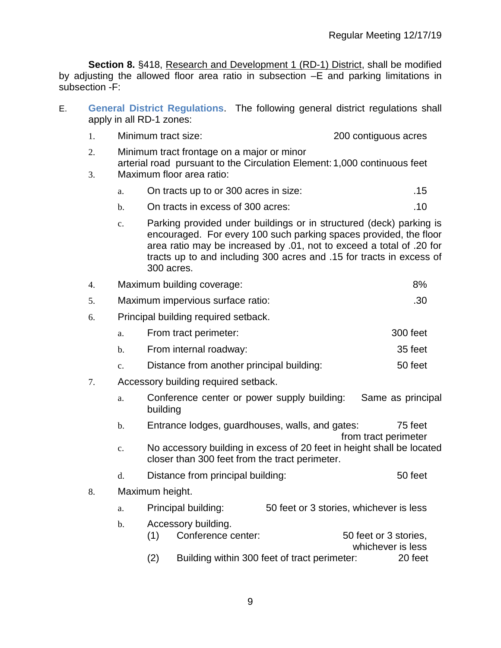**Section 8.** §418, Research and Development 1 (RD-1) District, shall be modified by adjusting the allowed floor area ratio in subsection –E and parking limitations in subsection -F:

E. **General District Regulations**. The following general district regulations shall apply in all RD-1 zones:

|  | Minimum tract size: | 200 contiguous acres |
|--|---------------------|----------------------|
|--|---------------------|----------------------|

- 2. Minimum tract frontage on a major or minor arterial road pursuant to the Circulation Element: 1,000 continuous feet
- 3. Maximum floor area ratio:

|  | 15 | On tracts up to or 300 acres in size: |
|--|----|---------------------------------------|
|--|----|---------------------------------------|

- b. On tracts in excess of 300 acres: **.10** and  $\overline{10}$
- c. Parking provided under buildings or in structured (deck) parking is encouraged. For every 100 such parking spaces provided, the floor area ratio may be increased by .01, not to exceed a total of .20 for tracts up to and including 300 acres and .15 for tracts in excess of 300 acres.

|  | Maximum building coverage: | 8% |
|--|----------------------------|----|
|--|----------------------------|----|

- 5. Maximum impervious surface ratio: .30
- 6. Principal building required setback.
	- a. From tract perimeter: 300 feet
	- b. From internal roadway: 35 feet
	- c. Distance from another principal building: 50 feet
- 7. Accessory building required setback.
	- a. Conference center or power supply building: Same as principal building
	- b. Entrance lodges, guardhouses, walls, and gates: 75 feet from tract perimeter
	- c. No accessory building in excess of 20 feet in height shall be located closer than 300 feet from the tract perimeter.
	- d. Distance from principal building: 50 feet
- 8. Maximum height.
	- a. Principal building: 50 feet or 3 stories, whichever is less
	- b. Accessory building. (1) Conference center: 50 feet or 3 stories, whichever is less (2) Building within 300 feet of tract perimeter: 20 feet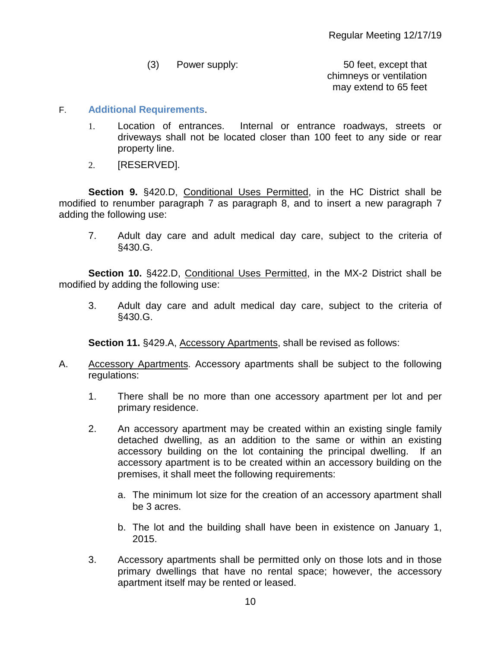- (3) Power supply: 50 feet, except that chimneys or ventilation may extend to 65 feet
- F. **Additional Requirements**.
	- 1. Location of entrances. Internal or entrance roadways, streets or driveways shall not be located closer than 100 feet to any side or rear property line.
	- 2. [RESERVED].

**Section 9.** §420.D, Conditional Uses Permitted, in the HC District shall be modified to renumber paragraph 7 as paragraph 8, and to insert a new paragraph 7 adding the following use:

7. Adult day care and adult medical day care, subject to the criteria of §430.G.

**Section 10.** §422.D, Conditional Uses Permitted, in the MX-2 District shall be modified by adding the following use:

3. Adult day care and adult medical day care, subject to the criteria of §430.G.

**Section 11.** §429.A, Accessory Apartments, shall be revised as follows:

- A. Accessory Apartments. Accessory apartments shall be subject to the following regulations:
	- 1. There shall be no more than one accessory apartment per lot and per primary residence.
	- 2. An accessory apartment may be created within an existing single family detached dwelling, as an addition to the same or within an existing accessory building on the lot containing the principal dwelling. If an accessory apartment is to be created within an accessory building on the premises, it shall meet the following requirements:
		- a. The minimum lot size for the creation of an accessory apartment shall be 3 acres.
		- b. The lot and the building shall have been in existence on January 1, 2015.
	- 3. Accessory apartments shall be permitted only on those lots and in those primary dwellings that have no rental space; however, the accessory apartment itself may be rented or leased.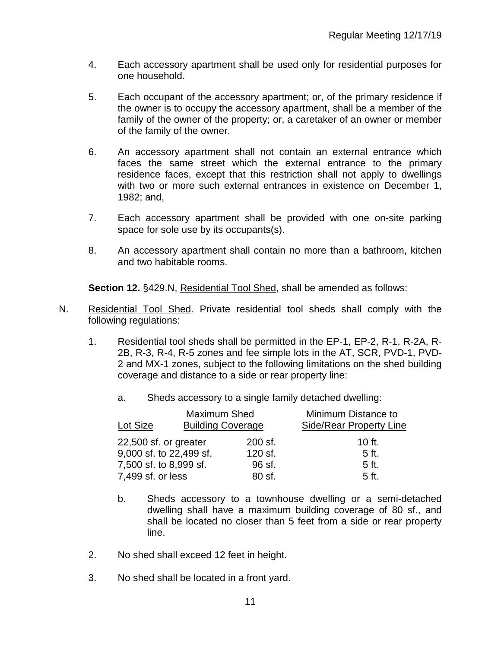- 4. Each accessory apartment shall be used only for residential purposes for one household.
- 5. Each occupant of the accessory apartment; or, of the primary residence if the owner is to occupy the accessory apartment, shall be a member of the family of the owner of the property; or, a caretaker of an owner or member of the family of the owner.
- 6. An accessory apartment shall not contain an external entrance which faces the same street which the external entrance to the primary residence faces, except that this restriction shall not apply to dwellings with two or more such external entrances in existence on December 1. 1982; and,
- 7. Each accessory apartment shall be provided with one on-site parking space for sole use by its occupants(s).
- 8. An accessory apartment shall contain no more than a bathroom, kitchen and two habitable rooms.

**Section 12.** §429.N, Residential Tool Shed, shall be amended as follows:

- N. Residential Tool Shed. Private residential tool sheds shall comply with the following regulations:
	- 1. Residential tool sheds shall be permitted in the EP-1, EP-2, R-1, R-2A, R-2B, R-3, R-4, R-5 zones and fee simple lots in the AT, SCR, PVD-1, PVD-2 and MX-1 zones, subject to the following limitations on the shed building coverage and distance to a side or rear property line:
		- a. Sheds accessory to a single family detached dwelling:

| Lot Size                | Maximum Shed<br><b>Building Coverage</b> |         | Minimum Distance to<br><b>Side/Rear Property Line</b> |
|-------------------------|------------------------------------------|---------|-------------------------------------------------------|
| 22,500 sf. or greater   |                                          | 200 sf. | $10$ ft.                                              |
| 9,000 sf. to 22,499 sf. |                                          | 120 sf. | 5 ft.                                                 |
| 7,500 sf. to 8,999 sf.  |                                          | 96 sf.  | 5 ft.                                                 |
| 7,499 sf. or less       |                                          | 80 sf.  | 5 ft.                                                 |

- b. Sheds accessory to a townhouse dwelling or a semi-detached dwelling shall have a maximum building coverage of 80 sf., and shall be located no closer than 5 feet from a side or rear property line.
- 2. No shed shall exceed 12 feet in height.
- 3. No shed shall be located in a front yard.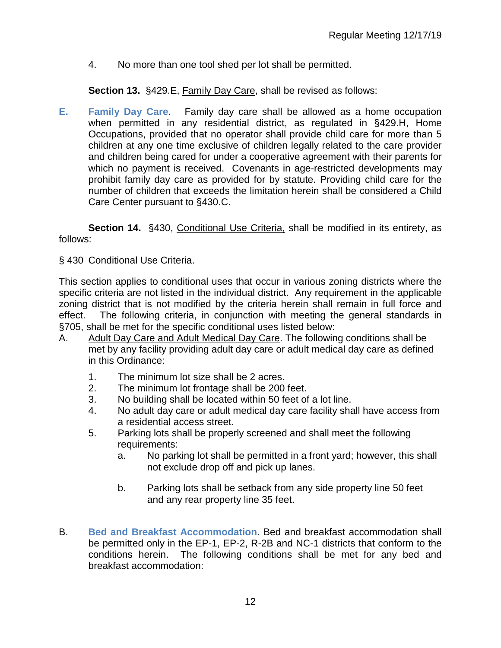4. No more than one tool shed per lot shall be permitted.

**Section 13.** §429.E, Family Day Care, shall be revised as follows:

**E. Family Day Care**. Family day care shall be allowed as a home occupation when permitted in any residential district, as regulated in §429.H, Home Occupations, provided that no operator shall provide child care for more than 5 children at any one time exclusive of children legally related to the care provider and children being cared for under a cooperative agreement with their parents for which no payment is received. Covenants in age-restricted developments may prohibit family day care as provided for by statute. Providing child care for the number of children that exceeds the limitation herein shall be considered a Child Care Center pursuant to §430.C.

**Section 14.** §430, Conditional Use Criteria, shall be modified in its entirety, as follows:

§ 430 Conditional Use Criteria.

This section applies to conditional uses that occur in various zoning districts where the specific criteria are not listed in the individual district. Any requirement in the applicable zoning district that is not modified by the criteria herein shall remain in full force and effect. The following criteria, in conjunction with meeting the general standards in §705, shall be met for the specific conditional uses listed below:

- A. Adult Day Care and Adult Medical Day Care. The following conditions shall be met by any facility providing adult day care or adult medical day care as defined in this Ordinance:
	- 1. The minimum lot size shall be 2 acres.
	- 2. The minimum lot frontage shall be 200 feet.
	- 3. No building shall be located within 50 feet of a lot line.
	- 4. No adult day care or adult medical day care facility shall have access from a residential access street.
	- 5. Parking lots shall be properly screened and shall meet the following requirements:
		- a. No parking lot shall be permitted in a front yard; however, this shall not exclude drop off and pick up lanes.
		- b. Parking lots shall be setback from any side property line 50 feet and any rear property line 35 feet.
- B. **Bed and Breakfast Accommodation**. Bed and breakfast accommodation shall be permitted only in the EP-1, EP-2, R-2B and NC-1 districts that conform to the conditions herein. The following conditions shall be met for any bed and breakfast accommodation: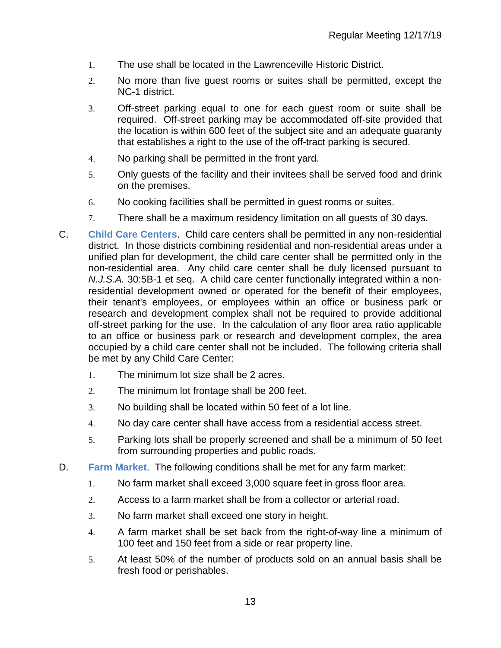- 1. The use shall be located in the Lawrenceville Historic District.
- 2. No more than five guest rooms or suites shall be permitted, except the NC-1 district.
- 3. Off-street parking equal to one for each guest room or suite shall be required. Off-street parking may be accommodated off-site provided that the location is within 600 feet of the subject site and an adequate guaranty that establishes a right to the use of the off-tract parking is secured.
- 4. No parking shall be permitted in the front yard.
- 5. Only guests of the facility and their invitees shall be served food and drink on the premises.
- 6. No cooking facilities shall be permitted in guest rooms or suites.
- 7. There shall be a maximum residency limitation on all guests of 30 days.
- C. **Child Care Centers**. Child care centers shall be permitted in any non-residential district. In those districts combining residential and non-residential areas under a unified plan for development, the child care center shall be permitted only in the non-residential area. Any child care center shall be duly licensed pursuant to *N.J.S.A.* 30:5B-1 et seq. A child care center functionally integrated within a nonresidential development owned or operated for the benefit of their employees, their tenant's employees, or employees within an office or business park or research and development complex shall not be required to provide additional off-street parking for the use. In the calculation of any floor area ratio applicable to an office or business park or research and development complex, the area occupied by a child care center shall not be included. The following criteria shall be met by any Child Care Center:
	- 1. The minimum lot size shall be 2 acres.
	- 2. The minimum lot frontage shall be 200 feet.
	- 3. No building shall be located within 50 feet of a lot line.
	- 4. No day care center shall have access from a residential access street.
	- 5. Parking lots shall be properly screened and shall be a minimum of 50 feet from surrounding properties and public roads.
- D. **Farm Market**. The following conditions shall be met for any farm market:
	- 1. No farm market shall exceed 3,000 square feet in gross floor area.
	- 2. Access to a farm market shall be from a collector or arterial road.
	- 3. No farm market shall exceed one story in height.
	- 4. A farm market shall be set back from the right-of-way line a minimum of 100 feet and 150 feet from a side or rear property line.
	- 5. At least 50% of the number of products sold on an annual basis shall be fresh food or perishables.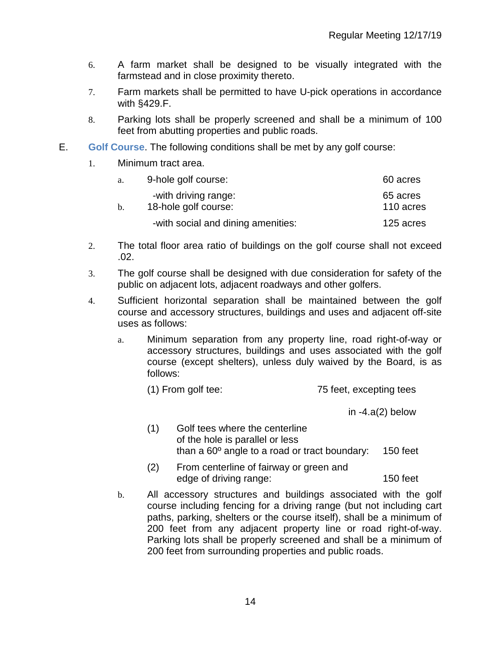- 6. A farm market shall be designed to be visually integrated with the farmstead and in close proximity thereto.
- 7. Farm markets shall be permitted to have U-pick operations in accordance with §429.F.
- 8. Parking lots shall be properly screened and shall be a minimum of 100 feet from abutting properties and public roads.
- E. **Golf Course**. The following conditions shall be met by any golf course:
	- 1. Minimum tract area.

| a.             | 9-hole golf course:                          | 60 acres              |
|----------------|----------------------------------------------|-----------------------|
| $\mathbf{b}$ . | -with driving range:<br>18-hole golf course: | 65 acres<br>110 acres |
|                | -with social and dining amenities:           | 125 acres             |

- 2. The total floor area ratio of buildings on the golf course shall not exceed .02.
- 3. The golf course shall be designed with due consideration for safety of the public on adjacent lots, adjacent roadways and other golfers.
- 4. Sufficient horizontal separation shall be maintained between the golf course and accessory structures, buildings and uses and adjacent off-site uses as follows:
	- a. Minimum separation from any property line, road right-of-way or accessory structures, buildings and uses associated with the golf course (except shelters), unless duly waived by the Board, is as follows:
		- (1) From golf tee: 75 feet, excepting tees

in -4.a(2) below

- (1) Golf tees where the centerline of the hole is parallel or less than a 60º angle to a road or tract boundary: 150 feet
- (2) From centerline of fairway or green and edge of driving range: 150 feet
- b. All accessory structures and buildings associated with the golf course including fencing for a driving range (but not including cart paths, parking, shelters or the course itself), shall be a minimum of 200 feet from any adjacent property line or road right-of-way. Parking lots shall be properly screened and shall be a minimum of 200 feet from surrounding properties and public roads.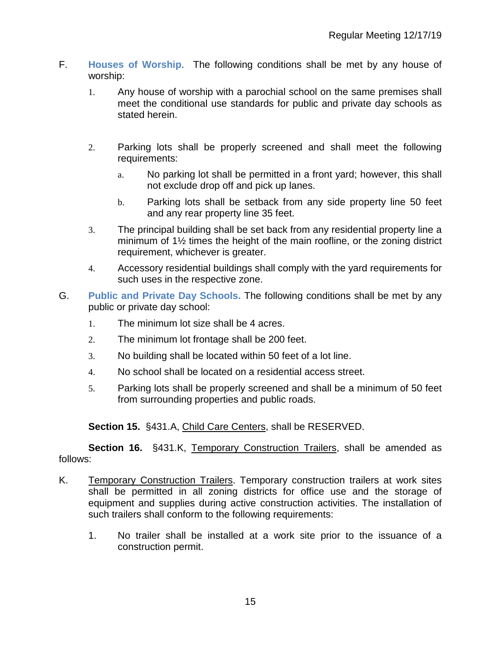- F. **Houses of Worship**. The following conditions shall be met by any house of worship:
	- 1. Any house of worship with a parochial school on the same premises shall meet the conditional use standards for public and private day schools as stated herein.
	- 2. Parking lots shall be properly screened and shall meet the following requirements:
		- a. No parking lot shall be permitted in a front yard; however, this shall not exclude drop off and pick up lanes.
		- b. Parking lots shall be setback from any side property line 50 feet and any rear property line 35 feet.
	- 3. The principal building shall be set back from any residential property line a minimum of 1½ times the height of the main roofline, or the zoning district requirement, whichever is greater.
	- 4. Accessory residential buildings shall comply with the yard requirements for such uses in the respective zone.
- G. **Public and Private Day Schools.** The following conditions shall be met by any public or private day school:
	- 1. The minimum lot size shall be 4 acres.
	- 2. The minimum lot frontage shall be 200 feet.
	- 3. No building shall be located within 50 feet of a lot line.
	- 4. No school shall be located on a residential access street.
	- 5. Parking lots shall be properly screened and shall be a minimum of 50 feet from surrounding properties and public roads.

**Section 15.** §431.A, Child Care Centers, shall be RESERVED.

**Section 16.** §431.K, Temporary Construction Trailers, shall be amended as follows:

- K. Temporary Construction Trailers. Temporary construction trailers at work sites shall be permitted in all zoning districts for office use and the storage of equipment and supplies during active construction activities. The installation of such trailers shall conform to the following requirements:
	- 1. No trailer shall be installed at a work site prior to the issuance of a construction permit.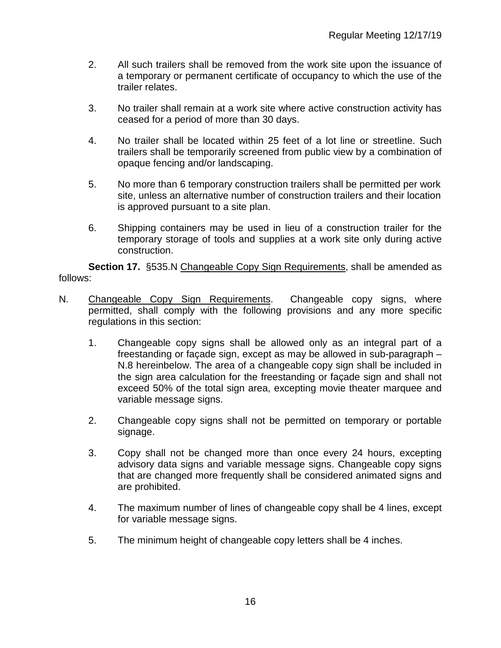- 2. All such trailers shall be removed from the work site upon the issuance of a temporary or permanent certificate of occupancy to which the use of the trailer relates.
- 3. No trailer shall remain at a work site where active construction activity has ceased for a period of more than 30 days.
- 4. No trailer shall be located within 25 feet of a lot line or streetline. Such trailers shall be temporarily screened from public view by a combination of opaque fencing and/or landscaping.
- 5. No more than 6 temporary construction trailers shall be permitted per work site, unless an alternative number of construction trailers and their location is approved pursuant to a site plan.
- 6. Shipping containers may be used in lieu of a construction trailer for the temporary storage of tools and supplies at a work site only during active construction.

**Section 17.** §535.N Changeable Copy Sign Requirements, shall be amended as follows:

- N. Changeable Copy Sign Requirements. Changeable copy signs, where permitted, shall comply with the following provisions and any more specific regulations in this section:
	- 1. Changeable copy signs shall be allowed only as an integral part of a freestanding or façade sign, except as may be allowed in sub-paragraph – N.8 hereinbelow. The area of a changeable copy sign shall be included in the sign area calculation for the freestanding or façade sign and shall not exceed 50% of the total sign area, excepting movie theater marquee and variable message signs.
	- 2. Changeable copy signs shall not be permitted on temporary or portable signage.
	- 3. Copy shall not be changed more than once every 24 hours, excepting advisory data signs and variable message signs. Changeable copy signs that are changed more frequently shall be considered animated signs and are prohibited.
	- 4. The maximum number of lines of changeable copy shall be 4 lines, except for variable message signs.
	- 5. The minimum height of changeable copy letters shall be 4 inches.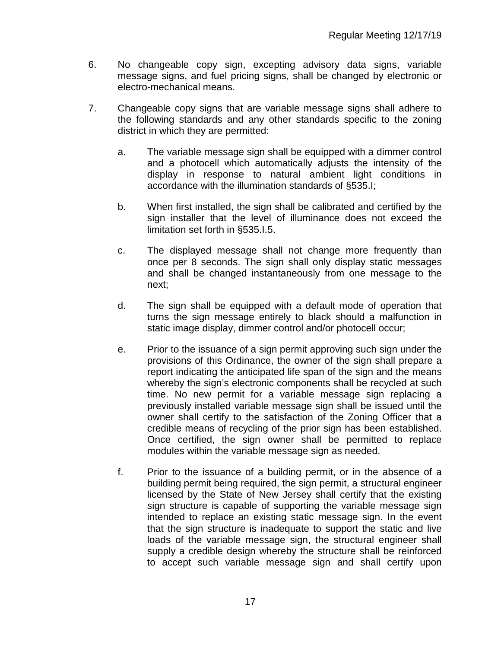- 6. No changeable copy sign, excepting advisory data signs, variable message signs, and fuel pricing signs, shall be changed by electronic or electro-mechanical means.
- 7. Changeable copy signs that are variable message signs shall adhere to the following standards and any other standards specific to the zoning district in which they are permitted:
	- a. The variable message sign shall be equipped with a dimmer control and a photocell which automatically adjusts the intensity of the display in response to natural ambient light conditions in accordance with the illumination standards of §535.I;
	- b. When first installed, the sign shall be calibrated and certified by the sign installer that the level of illuminance does not exceed the limitation set forth in §535.I.5.
	- c. The displayed message shall not change more frequently than once per 8 seconds. The sign shall only display static messages and shall be changed instantaneously from one message to the next;
	- d. The sign shall be equipped with a default mode of operation that turns the sign message entirely to black should a malfunction in static image display, dimmer control and/or photocell occur;
	- e. Prior to the issuance of a sign permit approving such sign under the provisions of this Ordinance, the owner of the sign shall prepare a report indicating the anticipated life span of the sign and the means whereby the sign's electronic components shall be recycled at such time. No new permit for a variable message sign replacing a previously installed variable message sign shall be issued until the owner shall certify to the satisfaction of the Zoning Officer that a credible means of recycling of the prior sign has been established. Once certified, the sign owner shall be permitted to replace modules within the variable message sign as needed.
	- f. Prior to the issuance of a building permit, or in the absence of a building permit being required, the sign permit, a structural engineer licensed by the State of New Jersey shall certify that the existing sign structure is capable of supporting the variable message sign intended to replace an existing static message sign. In the event that the sign structure is inadequate to support the static and live loads of the variable message sign, the structural engineer shall supply a credible design whereby the structure shall be reinforced to accept such variable message sign and shall certify upon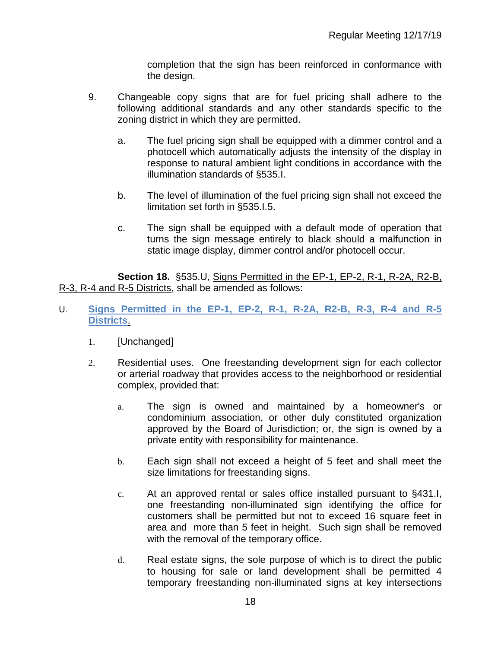completion that the sign has been reinforced in conformance with the design.

- 9. Changeable copy signs that are for fuel pricing shall adhere to the following additional standards and any other standards specific to the zoning district in which they are permitted.
	- a. The fuel pricing sign shall be equipped with a dimmer control and a photocell which automatically adjusts the intensity of the display in response to natural ambient light conditions in accordance with the illumination standards of §535.I.
	- b. The level of illumination of the fuel pricing sign shall not exceed the limitation set forth in §535.I.5.
	- c. The sign shall be equipped with a default mode of operation that turns the sign message entirely to black should a malfunction in static image display, dimmer control and/or photocell occur.

**Section 18.** §535.U, Signs Permitted in the EP-1, EP-2, R-1, R-2A, R2-B, R-3, R-4 and R-5 Districts, shall be amended as follows:

- U. **Signs Permitted in the EP-1, EP-2, R-1, R-2A, R2-B, R-3, R-4 and R-5 Districts**.
	- 1. [Unchanged]
	- 2. Residential uses. One freestanding development sign for each collector or arterial roadway that provides access to the neighborhood or residential complex, provided that:
		- a. The sign is owned and maintained by a homeowner's or condominium association, or other duly constituted organization approved by the Board of Jurisdiction; or, the sign is owned by a private entity with responsibility for maintenance.
		- b. Each sign shall not exceed a height of 5 feet and shall meet the size limitations for freestanding signs.
		- c. At an approved rental or sales office installed pursuant to §431.I, one freestanding non-illuminated sign identifying the office for customers shall be permitted but not to exceed 16 square feet in area and more than 5 feet in height. Such sign shall be removed with the removal of the temporary office.
		- d. Real estate signs, the sole purpose of which is to direct the public to housing for sale or land development shall be permitted 4 temporary freestanding non-illuminated signs at key intersections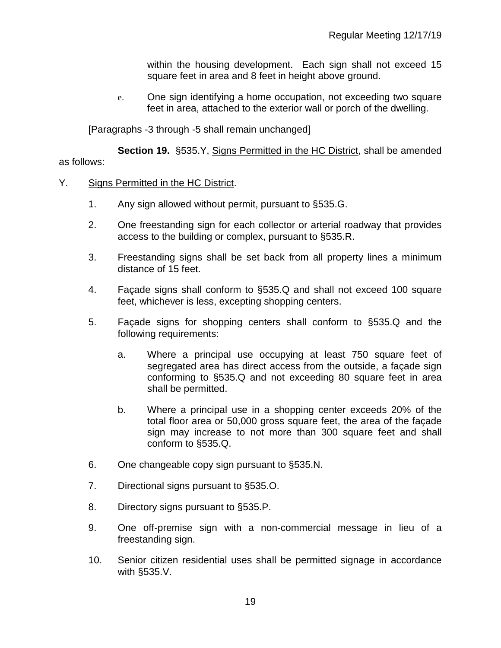within the housing development. Each sign shall not exceed 15 square feet in area and 8 feet in height above ground.

e. One sign identifying a home occupation, not exceeding two square feet in area, attached to the exterior wall or porch of the dwelling.

[Paragraphs -3 through -5 shall remain unchanged]

**Section 19.** §535.Y, Signs Permitted in the HC District, shall be amended as follows:

## Y. Signs Permitted in the HC District.

- 1. Any sign allowed without permit, pursuant to §535.G.
- 2. One freestanding sign for each collector or arterial roadway that provides access to the building or complex, pursuant to §535.R.
- 3. Freestanding signs shall be set back from all property lines a minimum distance of 15 feet.
- 4. Façade signs shall conform to §535.Q and shall not exceed 100 square feet, whichever is less, excepting shopping centers.
- 5. Façade signs for shopping centers shall conform to §535.Q and the following requirements:
	- a. Where a principal use occupying at least 750 square feet of segregated area has direct access from the outside, a façade sign conforming to §535.Q and not exceeding 80 square feet in area shall be permitted.
	- b. Where a principal use in a shopping center exceeds 20% of the total floor area or 50,000 gross square feet, the area of the façade sign may increase to not more than 300 square feet and shall conform to §535.Q.
- 6. One changeable copy sign pursuant to §535.N.
- 7. Directional signs pursuant to §535.O.
- 8. Directory signs pursuant to §535.P.
- 9. One off-premise sign with a non-commercial message in lieu of a freestanding sign.
- 10. Senior citizen residential uses shall be permitted signage in accordance with §535.V.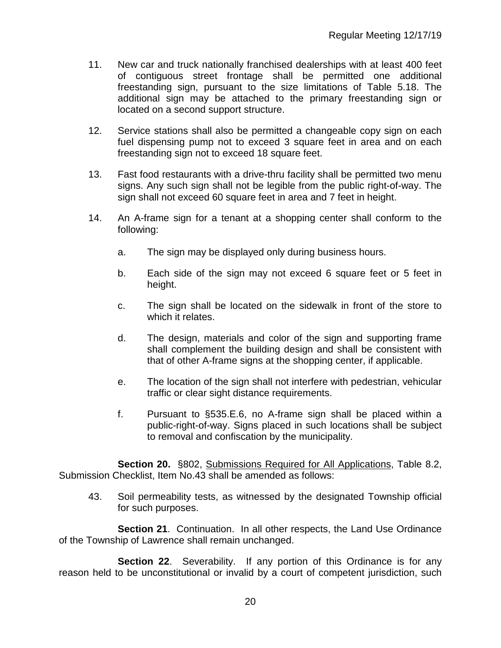- 11. New car and truck nationally franchised dealerships with at least 400 feet of contiguous street frontage shall be permitted one additional freestanding sign, pursuant to the size limitations of Table 5.18. The additional sign may be attached to the primary freestanding sign or located on a second support structure.
- 12. Service stations shall also be permitted a changeable copy sign on each fuel dispensing pump not to exceed 3 square feet in area and on each freestanding sign not to exceed 18 square feet.
- 13. Fast food restaurants with a drive-thru facility shall be permitted two menu signs. Any such sign shall not be legible from the public right-of-way. The sign shall not exceed 60 square feet in area and 7 feet in height.
- 14. An A-frame sign for a tenant at a shopping center shall conform to the following:
	- a. The sign may be displayed only during business hours.
	- b. Each side of the sign may not exceed 6 square feet or 5 feet in height.
	- c. The sign shall be located on the sidewalk in front of the store to which it relates.
	- d. The design, materials and color of the sign and supporting frame shall complement the building design and shall be consistent with that of other A-frame signs at the shopping center, if applicable.
	- e. The location of the sign shall not interfere with pedestrian, vehicular traffic or clear sight distance requirements.
	- f. Pursuant to §535.E.6, no A-frame sign shall be placed within a public-right-of-way. Signs placed in such locations shall be subject to removal and confiscation by the municipality.

**Section 20.** §802, Submissions Required for All Applications, Table 8.2, Submission Checklist, Item No.43 shall be amended as follows:

43. Soil permeability tests, as witnessed by the designated Township official for such purposes.

**Section 21**. Continuation. In all other respects, the Land Use Ordinance of the Township of Lawrence shall remain unchanged.

**Section 22.** Severability. If any portion of this Ordinance is for any reason held to be unconstitutional or invalid by a court of competent jurisdiction, such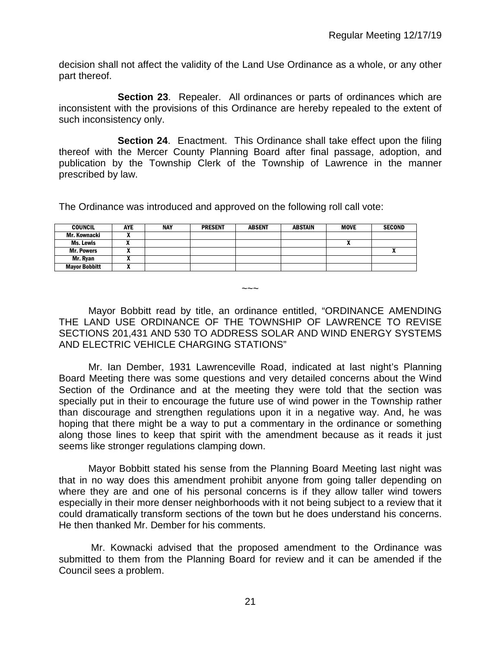decision shall not affect the validity of the Land Use Ordinance as a whole, or any other part thereof.

**Section 23**. Repealer. All ordinances or parts of ordinances which are inconsistent with the provisions of this Ordinance are hereby repealed to the extent of such inconsistency only.

**Section 24**. Enactment. This Ordinance shall take effect upon the filing thereof with the Mercer County Planning Board after final passage, adoption, and publication by the Township Clerk of the Township of Lawrence in the manner prescribed by law.

The Ordinance was introduced and approved on the following roll call vote:

| <b>COUNCIL</b>       | AYE | <b>NAY</b> | <b>PRESENT</b> | <b>ABSENT</b> | ABSTAIN | <b>MOVE</b> | <b>SECOND</b> |
|----------------------|-----|------------|----------------|---------------|---------|-------------|---------------|
| Mr. Kownacki         |     |            |                |               |         |             |               |
| Ms. Lewis            | ,,  |            |                |               |         | n           |               |
| <b>Mr. Powers</b>    |     |            |                |               |         |             | $\mathbf{v}$  |
| Mr. Ryan             |     |            |                |               |         |             |               |
| <b>Mayor Bobbitt</b> |     |            |                |               |         |             |               |

 $\sim\sim\sim$ 

Mayor Bobbitt read by title, an ordinance entitled, "ORDINANCE AMENDING THE LAND USE ORDINANCE OF THE TOWNSHIP OF LAWRENCE TO REVISE SECTIONS 201,431 AND 530 TO ADDRESS SOLAR AND WIND ENERGY SYSTEMS AND ELECTRIC VEHICLE CHARGING STATIONS"

Mr. Ian Dember, 1931 Lawrenceville Road, indicated at last night's Planning Board Meeting there was some questions and very detailed concerns about the Wind Section of the Ordinance and at the meeting they were told that the section was specially put in their to encourage the future use of wind power in the Township rather than discourage and strengthen regulations upon it in a negative way. And, he was hoping that there might be a way to put a commentary in the ordinance or something along those lines to keep that spirit with the amendment because as it reads it just seems like stronger regulations clamping down.

Mayor Bobbitt stated his sense from the Planning Board Meeting last night was that in no way does this amendment prohibit anyone from going taller depending on where they are and one of his personal concerns is if they allow taller wind towers especially in their more denser neighborhoods with it not being subject to a review that it could dramatically transform sections of the town but he does understand his concerns. He then thanked Mr. Dember for his comments.

Mr. Kownacki advised that the proposed amendment to the Ordinance was submitted to them from the Planning Board for review and it can be amended if the Council sees a problem.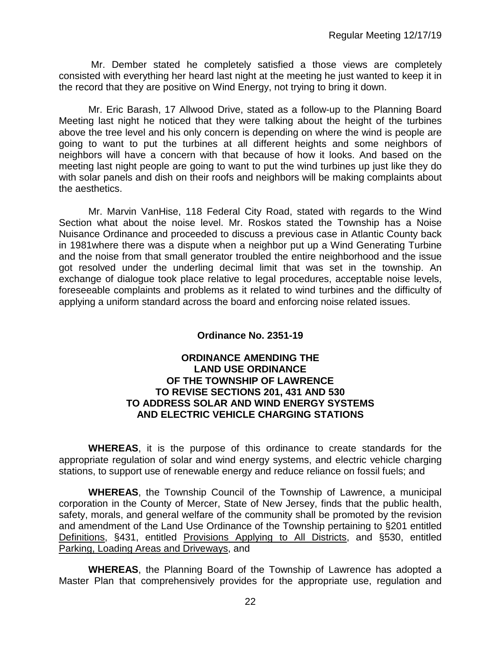Mr. Dember stated he completely satisfied a those views are completely consisted with everything her heard last night at the meeting he just wanted to keep it in the record that they are positive on Wind Energy, not trying to bring it down.

Mr. Eric Barash, 17 Allwood Drive, stated as a follow-up to the Planning Board Meeting last night he noticed that they were talking about the height of the turbines above the tree level and his only concern is depending on where the wind is people are going to want to put the turbines at all different heights and some neighbors of neighbors will have a concern with that because of how it looks. And based on the meeting last night people are going to want to put the wind turbines up just like they do with solar panels and dish on their roofs and neighbors will be making complaints about the aesthetics.

Mr. Marvin VanHise, 118 Federal City Road, stated with regards to the Wind Section what about the noise level. Mr. Roskos stated the Township has a Noise Nuisance Ordinance and proceeded to discuss a previous case in Atlantic County back in 1981where there was a dispute when a neighbor put up a Wind Generating Turbine and the noise from that small generator troubled the entire neighborhood and the issue got resolved under the underling decimal limit that was set in the township. An exchange of dialogue took place relative to legal procedures, acceptable noise levels, foreseeable complaints and problems as it related to wind turbines and the difficulty of applying a uniform standard across the board and enforcing noise related issues.

# **Ordinance No. 2351-19**

## **ORDINANCE AMENDING THE LAND USE ORDINANCE OF THE TOWNSHIP OF LAWRENCE TO REVISE SECTIONS 201, 431 AND 530 TO ADDRESS SOLAR AND WIND ENERGY SYSTEMS AND ELECTRIC VEHICLE CHARGING STATIONS**

**WHEREAS**, it is the purpose of this ordinance to create standards for the appropriate regulation of solar and wind energy systems, and electric vehicle charging stations, to support use of renewable energy and reduce reliance on fossil fuels; and

**WHEREAS**, the Township Council of the Township of Lawrence, a municipal corporation in the County of Mercer, State of New Jersey, finds that the public health, safety, morals, and general welfare of the community shall be promoted by the revision and amendment of the Land Use Ordinance of the Township pertaining to §201 entitled Definitions, §431, entitled Provisions Applying to All Districts, and §530, entitled Parking, Loading Areas and Driveways, and

 **WHEREAS**, the Planning Board of the Township of Lawrence has adopted a Master Plan that comprehensively provides for the appropriate use, regulation and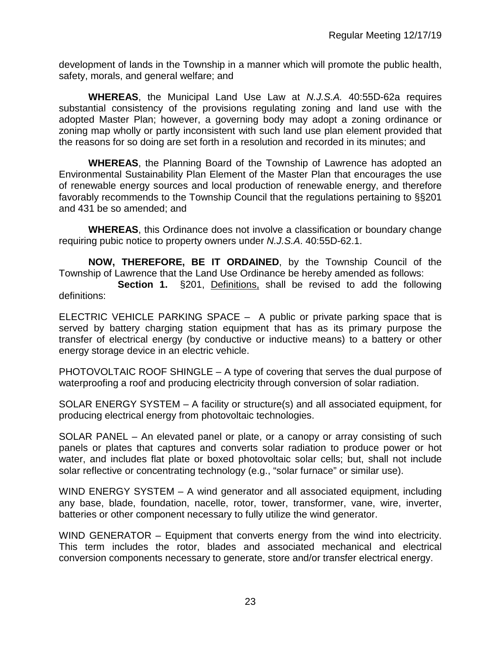development of lands in the Township in a manner which will promote the public health, safety, morals, and general welfare; and

**WHEREAS**, the Municipal Land Use Law at *N.J.S.A.* 40:55D-62a requires substantial consistency of the provisions regulating zoning and land use with the adopted Master Plan; however, a governing body may adopt a zoning ordinance or zoning map wholly or partly inconsistent with such land use plan element provided that the reasons for so doing are set forth in a resolution and recorded in its minutes; and

**WHEREAS**, the Planning Board of the Township of Lawrence has adopted an Environmental Sustainability Plan Element of the Master Plan that encourages the use of renewable energy sources and local production of renewable energy, and therefore favorably recommends to the Township Council that the regulations pertaining to §§201 and 431 be so amended; and

**WHEREAS**, this Ordinance does not involve a classification or boundary change requiring pubic notice to property owners under *N.J.S.A*. 40:55D-62.1.

**NOW, THEREFORE, BE IT ORDAINED**, by the Township Council of the Township of Lawrence that the Land Use Ordinance be hereby amended as follows:

**Section 1.** §201, Definitions, shall be revised to add the following definitions:

ELECTRIC VEHICLE PARKING SPACE – A public or private parking space that is served by battery charging station equipment that has as its primary purpose the transfer of electrical energy (by conductive or inductive means) to a battery or other energy storage device in an electric vehicle.

PHOTOVOLTAIC ROOF SHINGLE – A type of covering that serves the dual purpose of waterproofing a roof and producing electricity through conversion of solar radiation.

SOLAR ENERGY SYSTEM – A facility or structure(s) and all associated equipment, for producing electrical energy from photovoltaic technologies.

SOLAR PANEL – An elevated panel or plate, or a canopy or array consisting of such panels or plates that captures and converts solar radiation to produce power or hot water, and includes flat plate or boxed photovoltaic solar cells; but, shall not include solar reflective or concentrating technology (e.g., "solar furnace" or similar use).

WIND ENERGY SYSTEM – A wind generator and all associated equipment, including any base, blade, foundation, nacelle, rotor, tower, transformer, vane, wire, inverter, batteries or other component necessary to fully utilize the wind generator.

WIND GENERATOR – Equipment that converts energy from the wind into electricity. This term includes the rotor, blades and associated mechanical and electrical conversion components necessary to generate, store and/or transfer electrical energy.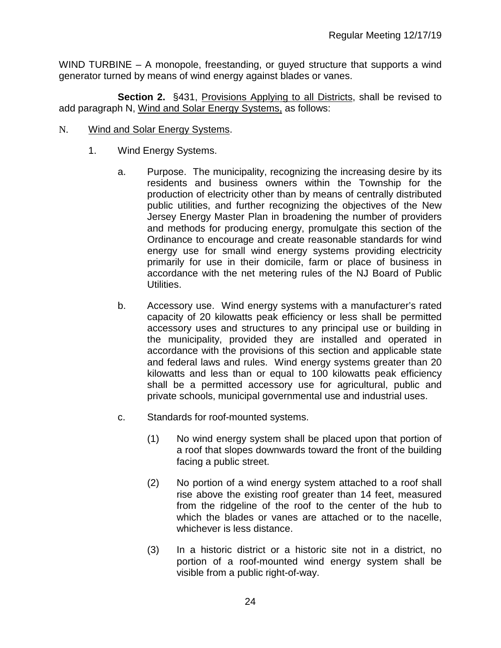WIND TURBINE – A monopole, freestanding, or guyed structure that supports a wind generator turned by means of wind energy against blades or vanes.

**Section 2.** §431, Provisions Applying to all Districts, shall be revised to add paragraph N, Wind and Solar Energy Systems, as follows:

- N. Wind and Solar Energy Systems.
	- 1. Wind Energy Systems.
		- a. Purpose. The municipality, recognizing the increasing desire by its residents and business owners within the Township for the production of electricity other than by means of centrally distributed public utilities, and further recognizing the objectives of the New Jersey Energy Master Plan in broadening the number of providers and methods for producing energy, promulgate this section of the Ordinance to encourage and create reasonable standards for wind energy use for small wind energy systems providing electricity primarily for use in their domicile, farm or place of business in accordance with the net metering rules of the NJ Board of Public Utilities.
		- b. Accessory use. Wind energy systems with a manufacturer's rated capacity of 20 kilowatts peak efficiency or less shall be permitted accessory uses and structures to any principal use or building in the municipality, provided they are installed and operated in accordance with the provisions of this section and applicable state and federal laws and rules. Wind energy systems greater than 20 kilowatts and less than or equal to 100 kilowatts peak efficiency shall be a permitted accessory use for agricultural, public and private schools, municipal governmental use and industrial uses.
		- c. Standards for roof-mounted systems.
			- (1) No wind energy system shall be placed upon that portion of a roof that slopes downwards toward the front of the building facing a public street.
			- (2) No portion of a wind energy system attached to a roof shall rise above the existing roof greater than 14 feet, measured from the ridgeline of the roof to the center of the hub to which the blades or vanes are attached or to the nacelle, whichever is less distance.
			- (3) In a historic district or a historic site not in a district, no portion of a roof-mounted wind energy system shall be visible from a public right-of-way.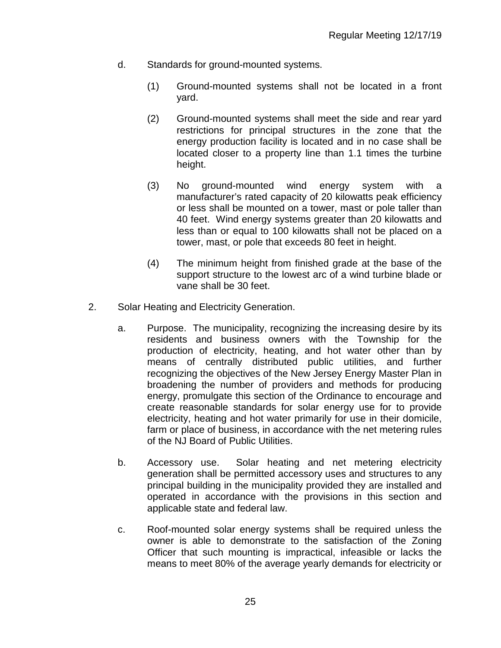- d. Standards for ground-mounted systems.
	- (1) Ground-mounted systems shall not be located in a front yard.
	- (2) Ground-mounted systems shall meet the side and rear yard restrictions for principal structures in the zone that the energy production facility is located and in no case shall be located closer to a property line than 1.1 times the turbine height.
	- (3) No ground-mounted wind energy system with a manufacturer's rated capacity of 20 kilowatts peak efficiency or less shall be mounted on a tower, mast or pole taller than 40 feet. Wind energy systems greater than 20 kilowatts and less than or equal to 100 kilowatts shall not be placed on a tower, mast, or pole that exceeds 80 feet in height.
	- (4) The minimum height from finished grade at the base of the support structure to the lowest arc of a wind turbine blade or vane shall be 30 feet.
- 2. Solar Heating and Electricity Generation.
	- a. Purpose. The municipality, recognizing the increasing desire by its residents and business owners with the Township for the production of electricity, heating, and hot water other than by means of centrally distributed public utilities, and further recognizing the objectives of the New Jersey Energy Master Plan in broadening the number of providers and methods for producing energy, promulgate this section of the Ordinance to encourage and create reasonable standards for solar energy use for to provide electricity, heating and hot water primarily for use in their domicile, farm or place of business, in accordance with the net metering rules of the NJ Board of Public Utilities.
	- b. Accessory use. Solar heating and net metering electricity generation shall be permitted accessory uses and structures to any principal building in the municipality provided they are installed and operated in accordance with the provisions in this section and applicable state and federal law.
	- c. Roof-mounted solar energy systems shall be required unless the owner is able to demonstrate to the satisfaction of the Zoning Officer that such mounting is impractical, infeasible or lacks the means to meet 80% of the average yearly demands for electricity or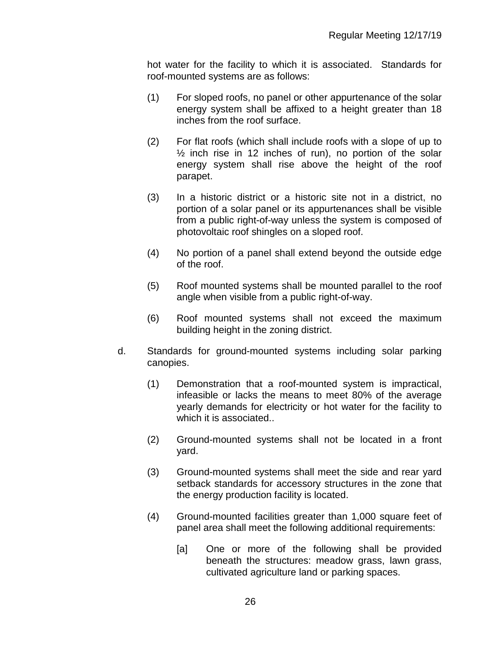hot water for the facility to which it is associated. Standards for roof-mounted systems are as follows:

- (1) For sloped roofs, no panel or other appurtenance of the solar energy system shall be affixed to a height greater than 18 inches from the roof surface.
- (2) For flat roofs (which shall include roofs with a slope of up to  $\frac{1}{2}$  inch rise in 12 inches of run), no portion of the solar energy system shall rise above the height of the roof parapet.
- (3) In a historic district or a historic site not in a district, no portion of a solar panel or its appurtenances shall be visible from a public right-of-way unless the system is composed of photovoltaic roof shingles on a sloped roof.
- (4) No portion of a panel shall extend beyond the outside edge of the roof.
- (5) Roof mounted systems shall be mounted parallel to the roof angle when visible from a public right-of-way.
- (6) Roof mounted systems shall not exceed the maximum building height in the zoning district.
- d. Standards for ground-mounted systems including solar parking canopies.
	- (1) Demonstration that a roof-mounted system is impractical, infeasible or lacks the means to meet 80% of the average yearly demands for electricity or hot water for the facility to which it is associated..
	- (2) Ground-mounted systems shall not be located in a front yard.
	- (3) Ground-mounted systems shall meet the side and rear yard setback standards for accessory structures in the zone that the energy production facility is located.
	- (4) Ground-mounted facilities greater than 1,000 square feet of panel area shall meet the following additional requirements:
		- [a] One or more of the following shall be provided beneath the structures: meadow grass, lawn grass, cultivated agriculture land or parking spaces.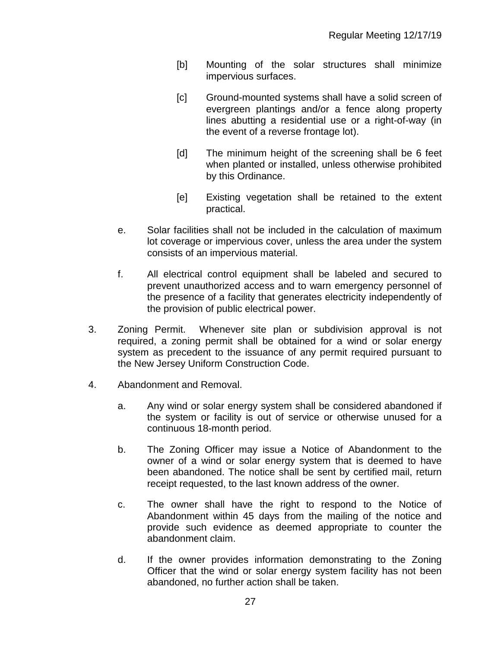- [b] Mounting of the solar structures shall minimize impervious surfaces.
- [c] Ground-mounted systems shall have a solid screen of evergreen plantings and/or a fence along property lines abutting a residential use or a right-of-way (in the event of a reverse frontage lot).
- [d] The minimum height of the screening shall be 6 feet when planted or installed, unless otherwise prohibited by this Ordinance.
- [e] Existing vegetation shall be retained to the extent practical.
- e. Solar facilities shall not be included in the calculation of maximum lot coverage or impervious cover, unless the area under the system consists of an impervious material.
- f. All electrical control equipment shall be labeled and secured to prevent unauthorized access and to warn emergency personnel of the presence of a facility that generates electricity independently of the provision of public electrical power.
- 3. Zoning Permit. Whenever site plan or subdivision approval is not required, a zoning permit shall be obtained for a wind or solar energy system as precedent to the issuance of any permit required pursuant to the New Jersey Uniform Construction Code.
- 4. Abandonment and Removal.
	- a. Any wind or solar energy system shall be considered abandoned if the system or facility is out of service or otherwise unused for a continuous 18-month period.
	- b. The Zoning Officer may issue a Notice of Abandonment to the owner of a wind or solar energy system that is deemed to have been abandoned. The notice shall be sent by certified mail, return receipt requested, to the last known address of the owner.
	- c. The owner shall have the right to respond to the Notice of Abandonment within 45 days from the mailing of the notice and provide such evidence as deemed appropriate to counter the abandonment claim.
	- d. If the owner provides information demonstrating to the Zoning Officer that the wind or solar energy system facility has not been abandoned, no further action shall be taken.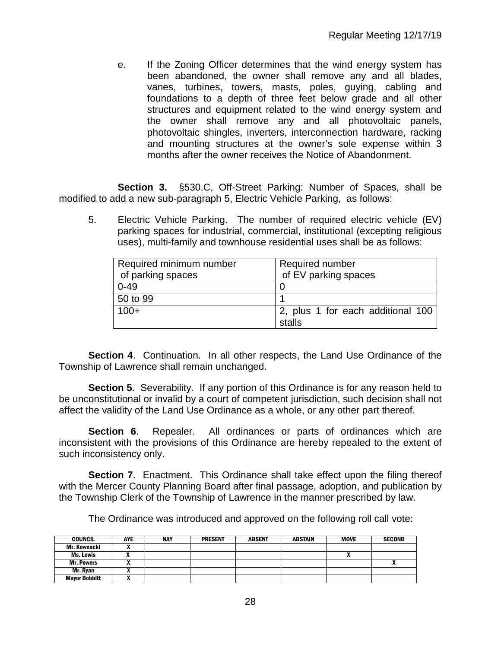e. If the Zoning Officer determines that the wind energy system has been abandoned, the owner shall remove any and all blades, vanes, turbines, towers, masts, poles, guying, cabling and foundations to a depth of three feet below grade and all other structures and equipment related to the wind energy system and the owner shall remove any and all photovoltaic panels, photovoltaic shingles, inverters, interconnection hardware, racking and mounting structures at the owner's sole expense within 3 months after the owner receives the Notice of Abandonment.

**Section 3.** §530.C, Off-Street Parking: Number of Spaces, shall be modified to add a new sub-paragraph 5, Electric Vehicle Parking, as follows:

5. Electric Vehicle Parking. The number of required electric vehicle (EV) parking spaces for industrial, commercial, institutional (excepting religious uses), multi-family and townhouse residential uses shall be as follows:

| Required minimum number | Required number                   |
|-------------------------|-----------------------------------|
| of parking spaces       | of EV parking spaces              |
| $0 - 49$                |                                   |
| 50 to 99                |                                   |
| $100+$                  | 2, plus 1 for each additional 100 |
|                         | stalls                            |

**Section 4**. Continuation. In all other respects, the Land Use Ordinance of the Township of Lawrence shall remain unchanged.

**Section 5.** Severability. If any portion of this Ordinance is for any reason held to be unconstitutional or invalid by a court of competent jurisdiction, such decision shall not affect the validity of the Land Use Ordinance as a whole, or any other part thereof.

**Section 6.** Repealer. All ordinances or parts of ordinances which are inconsistent with the provisions of this Ordinance are hereby repealed to the extent of such inconsistency only.

**Section 7.** Enactment. This Ordinance shall take effect upon the filing thereof with the Mercer County Planning Board after final passage, adoption, and publication by the Township Clerk of the Township of Lawrence in the manner prescribed by law.

The Ordinance was introduced and approved on the following roll call vote:

| <b>COUNCIL</b>       | <b>AYE</b> | NAY | <b>PRESENT</b> | <b>ABSENT</b> | <b>ABSTAIN</b> | <b>MOVE</b> | <b>SECOND</b> |
|----------------------|------------|-----|----------------|---------------|----------------|-------------|---------------|
| Mr. Kownacki         |            |     |                |               |                |             |               |
| Ms. Lewis            |            |     |                |               |                |             |               |
| <b>Mr. Powers</b>    |            |     |                |               |                |             |               |
| Mr. Rvan             |            |     |                |               |                |             |               |
| <b>Mayor Bobbitt</b> |            |     |                |               |                |             |               |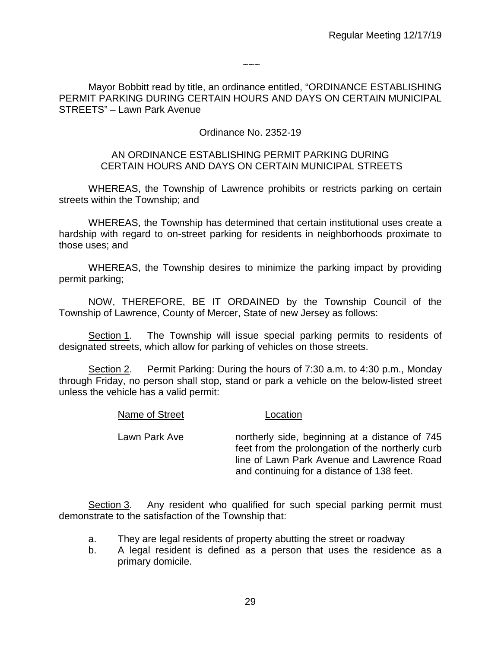$\sim\sim\sim$ 

Mayor Bobbitt read by title, an ordinance entitled, "ORDINANCE ESTABLISHING PERMIT PARKING DURING CERTAIN HOURS AND DAYS ON CERTAIN MUNICIPAL STREETS" – Lawn Park Avenue

# Ordinance No. 2352-19

### AN ORDINANCE ESTABLISHING PERMIT PARKING DURING CERTAIN HOURS AND DAYS ON CERTAIN MUNICIPAL STREETS

WHEREAS, the Township of Lawrence prohibits or restricts parking on certain streets within the Township; and

WHEREAS, the Township has determined that certain institutional uses create a hardship with regard to on-street parking for residents in neighborhoods proximate to those uses; and

WHEREAS, the Township desires to minimize the parking impact by providing permit parking;

NOW, THEREFORE, BE IT ORDAINED by the Township Council of the Township of Lawrence, County of Mercer, State of new Jersey as follows:

Section 1. The Township will issue special parking permits to residents of designated streets, which allow for parking of vehicles on those streets.

Section 2. Permit Parking: During the hours of 7:30 a.m. to 4:30 p.m., Monday through Friday, no person shall stop, stand or park a vehicle on the below-listed street unless the vehicle has a valid permit:

Name of Street Location

| <b>INATILE OF OTIGOL</b> | Luuuun                                                                                                                                                                                         |
|--------------------------|------------------------------------------------------------------------------------------------------------------------------------------------------------------------------------------------|
| Lawn Park Ave            | northerly side, beginning at a distance of 745<br>feet from the prolongation of the northerly curb<br>line of Lawn Park Avenue and Lawrence Road<br>and continuing for a distance of 138 feet. |
|                          |                                                                                                                                                                                                |

Section 3. Any resident who qualified for such special parking permit must demonstrate to the satisfaction of the Township that:

- a. They are legal residents of property abutting the street or roadway
- b. A legal resident is defined as a person that uses the residence as a primary domicile.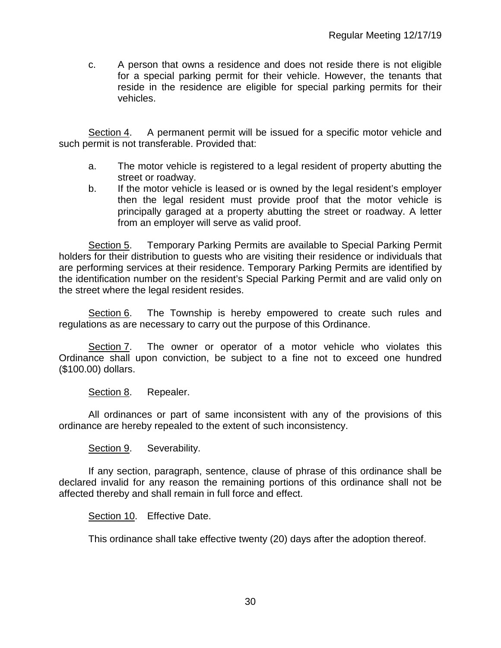c. A person that owns a residence and does not reside there is not eligible for a special parking permit for their vehicle. However, the tenants that reside in the residence are eligible for special parking permits for their vehicles.

Section 4. A permanent permit will be issued for a specific motor vehicle and such permit is not transferable. Provided that:

- a. The motor vehicle is registered to a legal resident of property abutting the street or roadway.
- b. If the motor vehicle is leased or is owned by the legal resident's employer then the legal resident must provide proof that the motor vehicle is principally garaged at a property abutting the street or roadway. A letter from an employer will serve as valid proof.

Section 5. Temporary Parking Permits are available to Special Parking Permit holders for their distribution to guests who are visiting their residence or individuals that are performing services at their residence. Temporary Parking Permits are identified by the identification number on the resident's Special Parking Permit and are valid only on the street where the legal resident resides.

Section 6. The Township is hereby empowered to create such rules and regulations as are necessary to carry out the purpose of this Ordinance.

Section 7. The owner or operator of a motor vehicle who violates this Ordinance shall upon conviction, be subject to a fine not to exceed one hundred (\$100.00) dollars.

Section 8. Repealer.

All ordinances or part of same inconsistent with any of the provisions of this ordinance are hereby repealed to the extent of such inconsistency.

Section 9. Severability.

If any section, paragraph, sentence, clause of phrase of this ordinance shall be declared invalid for any reason the remaining portions of this ordinance shall not be affected thereby and shall remain in full force and effect.

Section 10. Effective Date.

This ordinance shall take effective twenty (20) days after the adoption thereof.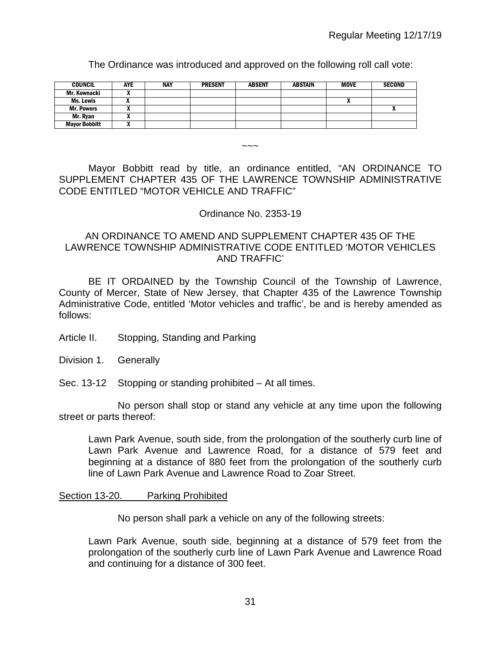The Ordinance was introduced and approved on the following roll call vote:

| <b>COUNCIL</b>       | AYE | <b>NAY</b> | <b>PRESENT</b> | <b>ABSENT</b> | ABSTAIN | <b>MOVE</b> | <b>SECOND</b> |
|----------------------|-----|------------|----------------|---------------|---------|-------------|---------------|
| Mr. Kownacki         |     |            |                |               |         |             |               |
| Ms. Lewis            |     |            |                |               |         | ,,          |               |
| <b>Mr. Powers</b>    |     |            |                |               |         |             |               |
| Mr. Ryan             |     |            |                |               |         |             |               |
| <b>Mayor Bobbitt</b> | "   |            |                |               |         |             |               |

Mayor Bobbitt read by title, an ordinance entitled, "AN ORDINANCE TO SUPPLEMENT CHAPTER 435 OF THE LAWRENCE TOWNSHIP ADMINISTRATIVE CODE ENTITLED "MOTOR VEHICLE AND TRAFFIC"

### Ordinance No. 2353-19

 $\sim\sim\sim$ 

# AN ORDINANCE TO AMEND AND SUPPLEMENT CHAPTER 435 OF THE LAWRENCE TOWNSHIP ADMINISTRATIVE CODE ENTITLED 'MOTOR VEHICLES AND TRAFFIC'

BE IT ORDAINED by the Township Council of the Township of Lawrence, County of Mercer, State of New Jersey, that Chapter 435 of the Lawrence Township Administrative Code, entitled 'Motor vehicles and traffic', be and is hereby amended as follows:

- Article II. Stopping, Standing and Parking
- Division 1. Generally
- Sec. 13-12 Stopping or standing prohibited At all times.

No person shall stop or stand any vehicle at any time upon the following street or parts thereof:

Lawn Park Avenue, south side, from the prolongation of the southerly curb line of Lawn Park Avenue and Lawrence Road, for a distance of 579 feet and beginning at a distance of 880 feet from the prolongation of the southerly curb line of Lawn Park Avenue and Lawrence Road to Zoar Street.

#### Section 13-20. Parking Prohibited

No person shall park a vehicle on any of the following streets:

Lawn Park Avenue, south side, beginning at a distance of 579 feet from the prolongation of the southerly curb line of Lawn Park Avenue and Lawrence Road and continuing for a distance of 300 feet.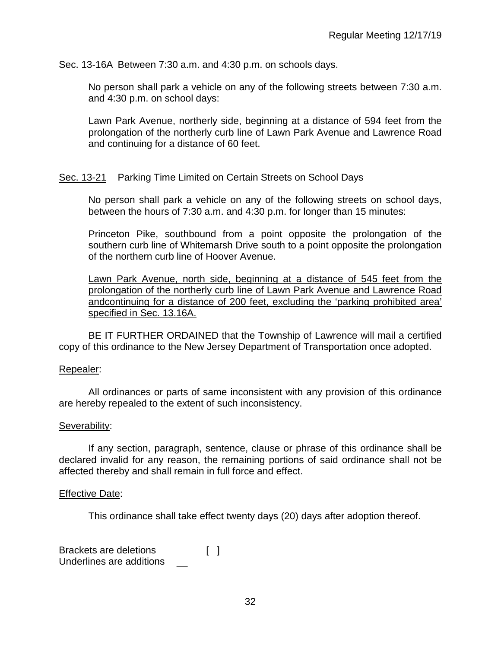Sec. 13-16A Between 7:30 a.m. and 4:30 p.m. on schools days.

No person shall park a vehicle on any of the following streets between 7:30 a.m. and 4:30 p.m. on school days:

Lawn Park Avenue, northerly side, beginning at a distance of 594 feet from the prolongation of the northerly curb line of Lawn Park Avenue and Lawrence Road and continuing for a distance of 60 feet.

### Sec. 13-21 Parking Time Limited on Certain Streets on School Days

No person shall park a vehicle on any of the following streets on school days, between the hours of 7:30 a.m. and 4:30 p.m. for longer than 15 minutes:

Princeton Pike, southbound from a point opposite the prolongation of the southern curb line of Whitemarsh Drive south to a point opposite the prolongation of the northern curb line of Hoover Avenue.

Lawn Park Avenue, north side, beginning at a distance of 545 feet from the prolongation of the northerly curb line of Lawn Park Avenue and Lawrence Road andcontinuing for a distance of 200 feet, excluding the 'parking prohibited area' specified in Sec. 13.16A.

BE IT FURTHER ORDAINED that the Township of Lawrence will mail a certified copy of this ordinance to the New Jersey Department of Transportation once adopted.

#### Repealer:

All ordinances or parts of same inconsistent with any provision of this ordinance are hereby repealed to the extent of such inconsistency.

#### Severability:

If any section, paragraph, sentence, clause or phrase of this ordinance shall be declared invalid for any reason, the remaining portions of said ordinance shall not be affected thereby and shall remain in full force and effect.

#### Effective Date:

This ordinance shall take effect twenty days (20) days after adoption thereof.

Brackets are deletions [ ] Underlines are additions \_\_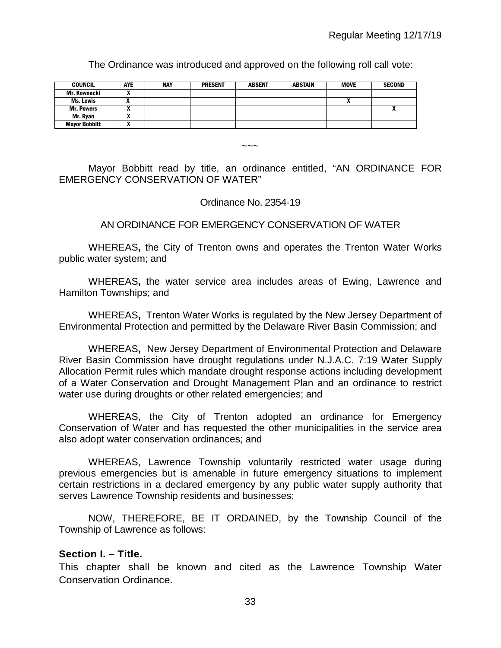The Ordinance was introduced and approved on the following roll call vote:

| <b>COUNCIL</b>       | <b>AYE</b> | <b>NAY</b> | <b>PRESENT</b> | <b>ABSENT</b> | <b>ABSTAIN</b> | <b>MOVE</b> | <b>SECOND</b> |
|----------------------|------------|------------|----------------|---------------|----------------|-------------|---------------|
| Mr. Kownacki         | . .        |            |                |               |                |             |               |
| Ms. Lewis            |            |            |                |               |                |             |               |
| <b>Mr. Powers</b>    |            |            |                |               |                |             |               |
| Mr. Ryan             |            |            |                |               |                |             |               |
| <b>Mayor Bobbitt</b> |            |            |                |               |                |             |               |

 $\sim\sim\sim$ 

Mayor Bobbitt read by title, an ordinance entitled, "AN ORDINANCE FOR EMERGENCY CONSERVATION OF WATER"

### Ordinance No. 2354-19

## AN ORDINANCE FOR EMERGENCY CONSERVATION OF WATER

WHEREAS**,** the City of Trenton owns and operates the Trenton Water Works public water system; and

WHEREAS**,** the water service area includes areas of Ewing, Lawrence and Hamilton Townships; and

WHEREAS**,** Trenton Water Works is regulated by the New Jersey Department of Environmental Protection and permitted by the Delaware River Basin Commission; and

WHEREAS**,** New Jersey Department of Environmental Protection and Delaware River Basin Commission have drought regulations under N.J.A.C. 7:19 Water Supply Allocation Permit rules which mandate drought response actions including development of a Water Conservation and Drought Management Plan and an ordinance to restrict water use during droughts or other related emergencies; and

WHEREAS, the City of Trenton adopted an ordinance for Emergency Conservation of Water and has requested the other municipalities in the service area also adopt water conservation ordinances; and

WHEREAS, Lawrence Township voluntarily restricted water usage during previous emergencies but is amenable in future emergency situations to implement certain restrictions in a declared emergency by any public water supply authority that serves Lawrence Township residents and businesses;

NOW, THEREFORE, BE IT ORDAINED, by the Township Council of the Township of Lawrence as follows:

## **Section I. – Title.**

This chapter shall be known and cited as the Lawrence Township Water Conservation Ordinance.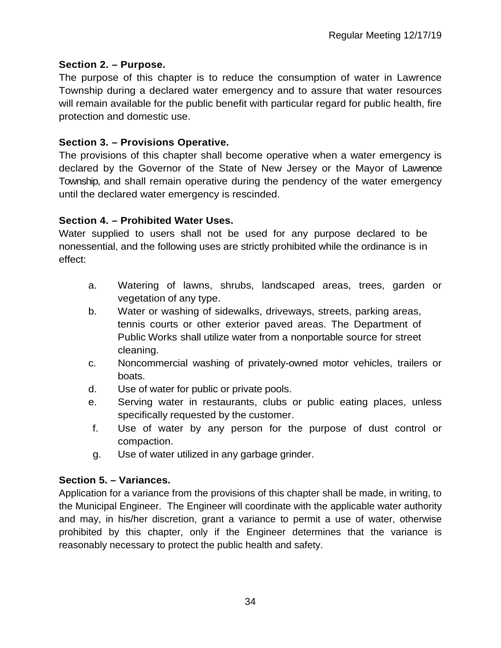# **Section 2. – Purpose.**

The purpose of this chapter is to reduce the consumption of water in Lawrence Township during a declared water emergency and to assure that water resources will remain available for the public benefit with particular regard for public health, fire protection and domestic use.

# **Section 3. – Provisions Operative.**

The provisions of this chapter shall become operative when a water emergency is declared by the Governor of the State of New Jersey or the Mayor of Lawrence Township, and shall remain operative during the pendency of the water emergency until the declared water emergency is rescinded.

# **Section 4. – Prohibited Water Uses.**

Water supplied to users shall not be used for any purpose declared to be nonessential, and the following uses are strictly prohibited while the ordinance is in effect:

- a. Watering of lawns, shrubs, landscaped areas, trees, garden or vegetation of any type.
- b. Water or washing of sidewalks, driveways, streets, parking areas, tennis courts or other exterior paved areas. The Department of Public Works shall utilize water from a nonportable source for street cleaning.
- c. Noncommercial washing of privately-owned motor vehicles, trailers or boats.
- d. Use of water for public or private pools.
- e. Serving water in restaurants, clubs or public eating places, unless specifically requested by the customer.
- f. Use of water by any person for the purpose of dust control or compaction.
- g. Use of water utilized in any garbage grinder.

# **Section 5. – Variances.**

Application for a variance from the provisions of this chapter shall be made, in writing, to the Municipal Engineer. The Engineer will coordinate with the applicable water authority and may, in his/her discretion, grant a variance to permit a use of water, otherwise prohibited by this chapter, only if the Engineer determines that the variance is reasonably necessary to protect the public health and safety.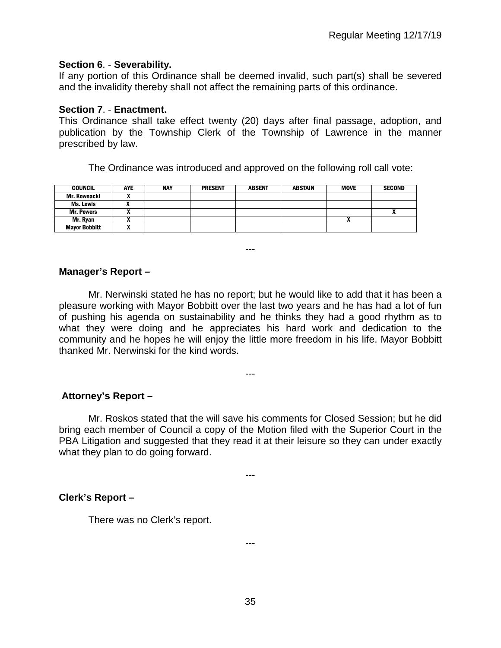# **Section 6**. - **Severability.**

If any portion of this Ordinance shall be deemed invalid, such part(s) shall be severed and the invalidity thereby shall not affect the remaining parts of this ordinance.

## **Section 7**. - **Enactment.**

This Ordinance shall take effect twenty (20) days after final passage, adoption, and publication by the Township Clerk of the Township of Lawrence in the manner prescribed by law.

The Ordinance was introduced and approved on the following roll call vote:

| <b>COUNCIL</b>       | <b>AYE</b> | <b>NAY</b> | <b>PRESENT</b> | <b>ABSENT</b> | <b>ABSTAIN</b> | <b>MOVE</b> | <b>SECOND</b> |
|----------------------|------------|------------|----------------|---------------|----------------|-------------|---------------|
| Mr. Kownacki         |            |            |                |               |                |             |               |
| Ms. Lewis            |            |            |                |               |                |             |               |
| <b>Mr. Powers</b>    | ,,         |            |                |               |                |             |               |
| Mr. Ryan             |            |            |                |               |                |             |               |
| <b>Mayor Bobbitt</b> |            |            |                |               |                |             |               |

# **Manager's Report –**

Mr. Nerwinski stated he has no report; but he would like to add that it has been a pleasure working with Mayor Bobbitt over the last two years and he has had a lot of fun of pushing his agenda on sustainability and he thinks they had a good rhythm as to what they were doing and he appreciates his hard work and dedication to the community and he hopes he will enjoy the little more freedom in his life. Mayor Bobbitt thanked Mr. Nerwinski for the kind words.

---

---

# **Attorney's Report –**

Mr. Roskos stated that the will save his comments for Closed Session; but he did bring each member of Council a copy of the Motion filed with the Superior Court in the PBA Litigation and suggested that they read it at their leisure so they can under exactly what they plan to do going forward.

---

## **Clerk's Report –**

There was no Clerk's report.

---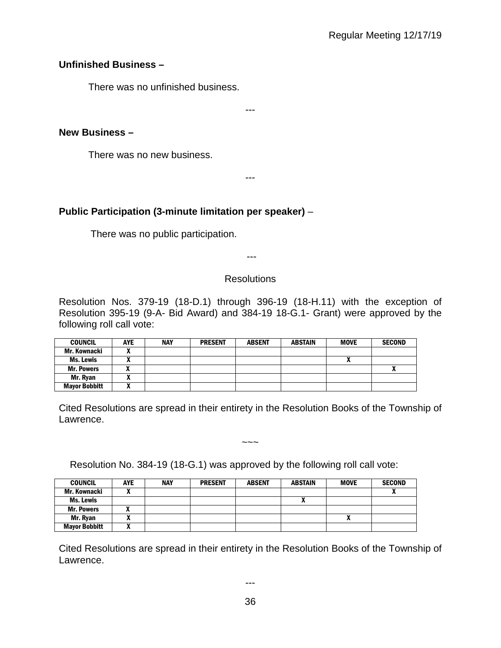# **Unfinished Business –**

There was no unfinished business.

---

# **New Business –**

There was no new business.

---

# **Public Participation (3-minute limitation per speaker)** –

There was no public participation.

---

## **Resolutions**

Resolution Nos. 379-19 (18-D.1) through 396-19 (18-H.11) with the exception of Resolution 395-19 (9-A- Bid Award) and 384-19 18-G.1- Grant) were approved by the following roll call vote:

| <b>COUNCIL</b>       | AYE | <b>NAY</b> | <b>PRESENT</b> | <b>ABSENT</b> | <b>ABSTAIN</b> | <b>MOVE</b> | <b>SECOND</b> |
|----------------------|-----|------------|----------------|---------------|----------------|-------------|---------------|
| Mr. Kownacki         |     |            |                |               |                |             |               |
| Ms. Lewis            |     |            |                |               |                |             |               |
| <b>Mr. Powers</b>    |     |            |                |               |                |             | $\mathbf{v}$  |
| Mr. Rvan             |     |            |                |               |                |             |               |
| <b>Mayor Bobbitt</b> |     |            |                |               |                |             |               |

Cited Resolutions are spread in their entirety in the Resolution Books of the Township of Lawrence.

 $\sim\sim\sim$ 

Resolution No. 384-19 (18-G.1) was approved by the following roll call vote:

| <b>COUNCIL</b>       | <b>AYE</b>                 | <b>NAY</b> | <b>PRESENT</b> | <b>ABSENT</b> | <b>ABSTAIN</b> | <b>MOVE</b> | <b>SECOND</b> |
|----------------------|----------------------------|------------|----------------|---------------|----------------|-------------|---------------|
| Mr. Kownacki         |                            |            |                |               |                |             |               |
| Ms. Lewis            |                            |            |                |               |                |             |               |
| <b>Mr. Powers</b>    |                            |            |                |               |                |             |               |
| Mr. Ryan             |                            |            |                |               |                | Λ           |               |
| <b>Mayor Bobbitt</b> | $\boldsymbol{\mathcal{L}}$ |            |                |               |                |             |               |

Cited Resolutions are spread in their entirety in the Resolution Books of the Township of Lawrence.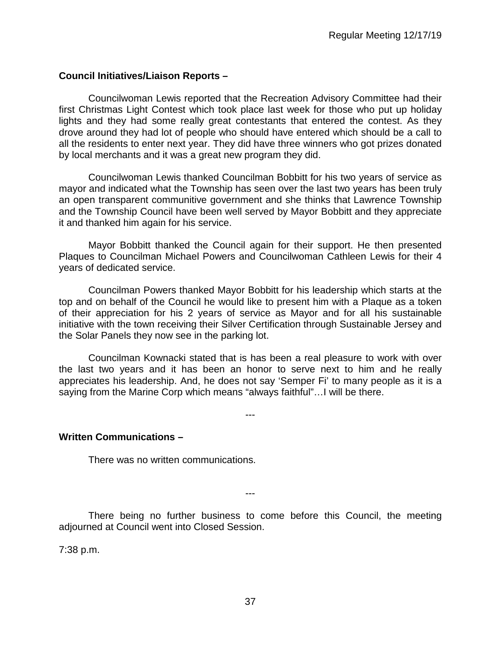# **Council Initiatives/Liaison Reports –**

Councilwoman Lewis reported that the Recreation Advisory Committee had their first Christmas Light Contest which took place last week for those who put up holiday lights and they had some really great contestants that entered the contest. As they drove around they had lot of people who should have entered which should be a call to all the residents to enter next year. They did have three winners who got prizes donated by local merchants and it was a great new program they did.

Councilwoman Lewis thanked Councilman Bobbitt for his two years of service as mayor and indicated what the Township has seen over the last two years has been truly an open transparent communitive government and she thinks that Lawrence Township and the Township Council have been well served by Mayor Bobbitt and they appreciate it and thanked him again for his service.

Mayor Bobbitt thanked the Council again for their support. He then presented Plaques to Councilman Michael Powers and Councilwoman Cathleen Lewis for their 4 years of dedicated service.

Councilman Powers thanked Mayor Bobbitt for his leadership which starts at the top and on behalf of the Council he would like to present him with a Plaque as a token of their appreciation for his 2 years of service as Mayor and for all his sustainable initiative with the town receiving their Silver Certification through Sustainable Jersey and the Solar Panels they now see in the parking lot.

Councilman Kownacki stated that is has been a real pleasure to work with over the last two years and it has been an honor to serve next to him and he really appreciates his leadership. And, he does not say 'Semper Fi' to many people as it is a saying from the Marine Corp which means "always faithful"…I will be there.

---

## **Written Communications –**

There was no written communications.

There being no further business to come before this Council, the meeting adjourned at Council went into Closed Session.

---

7:38 p.m.